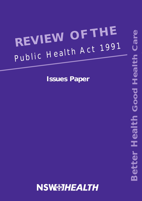# **REVIEW OF THE** Public Health Act 1991

**Issues Paper**

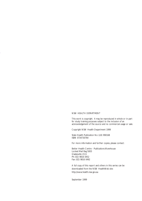#### NSW HEALTH DEPARTMENT

This work is copyright. It may be reproduced in whole or in part for study training purposes subject to the inclusion of an acknowledgement of the source and no commercial usage or sale.

Copyright NSW Health Department 1999

State Health Publication No: (LB) 990168 ISBN 0734730764

For more information and further copies, please contact:

Better Health Centre - Publications Warehouse Locked Mail Bag 5003 Gladesville 2111 Ph: (02) 9816 0452 Fax: (02) 9816 0492

A full copy of this report and others in this series can be downloaded from the NSW HealthWeb site: http://www.health.nsw.gov.au

September 1999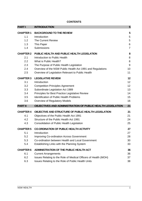# **CONTENTS**

| <b>PARTI</b>     | <b>INTRODUCTION</b>                                             | 5              |
|------------------|-----------------------------------------------------------------|----------------|
| <b>CHAPTER 1</b> | <b>BACKGROUND TO THE REVIEW</b>                                 | 5              |
| 1.1              | Introduction                                                    | 5              |
| 1.2              | The Current Review                                              | 5              |
| 1.3              | This Paper                                                      | 6              |
| 1.4              | Submissions                                                     | $\overline{7}$ |
| <b>CHAPTER 2</b> | PUBLIC HEALTH AND PUBLIC HEALTH LEGISLATION                     | 8              |
| 2.1              | Introduction to Public Health                                   | 8              |
| 2.2              | What is Public Health?                                          | 8              |
| 2.3              | The Purpose of Public Health Legislation                        | 9              |
| 2.4              | Overview of the NSW Public Health Act 1991 and Regulations      | 10             |
| 2.5              | Overview of Legislation Relevant to Public Health               | 11             |
| <b>CHAPTER 3</b> | <b>LEGISLATIVE REVIEW</b>                                       | 12             |
| 3.1              | Introduction                                                    | 12             |
| 3.2              | <b>Competition Principles Agreement</b>                         | 12             |
| 3.3              | Subordinate Legislation Act 1989                                | 13             |
| 3.4              | Principles for Best Practice Legislative Review                 | 14             |
| 3.5              | <b>Identification of Public Health Problems</b>                 | 15             |
| 3.6              | Overview of Regulatory Models                                   | 16             |
| <b>PART II</b>   | OBJECTIVES AND ADMINISTRATION OF PUBLIC HEALTH LEGISLATION      | 21             |
| <b>CHAPTER 4</b> | OBJECTIVE AND STRUCTURE OF PUBLIC HEALTH LEGISLATION            | 21             |
| 4.1              | Objectives of the Public Health Act 1991                        | 21             |
| 4.2              | Structure of the Public Health Act 1991                         | 24             |
| 4.3              | Consolidation of Public Health Legislation                      | 25             |
| <b>CHAPTER 5</b> | <b>CO-ORDINATION OF PUBLIC HEALTH ACTIVITY</b>                  | 27             |
| 5.1              | Introduction                                                    | 27             |
| 5.2              | <b>Improving Co-ordination Across Government</b>                | 28             |
| 5.3              | Co-ordination between Health and Local Government               | 30             |
| 5.4              | Establishing Links with the Planning System                     | 33             |
| <b>CHAPTER 6</b> | ADMINISTRATION OF THE PUBLIC HEALTH ACT                         | 36             |
| 6.1              | <b>Current Arrangements</b>                                     | 36             |
| 6.2              | Issues Relating to the Role of Medical Officers of Health (MOH) | 37             |
| 6.3              | Issues Relating to the Role of Public Health Units              | 38             |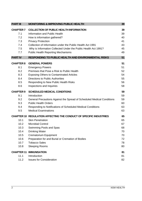| <b>PART III</b>   | <b>MONITORING &amp; IMPROVING PUBLIC HEALTH</b>                           | 39 |
|-------------------|---------------------------------------------------------------------------|----|
| <b>CHAPTER 7</b>  | <b>COLLECTION OF PUBLIC HEALTH INFORMATION</b>                            | 39 |
| 7.1               | Information and Public Health                                             | 39 |
| 7.2               | How is information gathered?                                              | 40 |
| 7.3               | <b>Privacy Protection</b>                                                 | 41 |
| 7.4               | Collection of Information under the Public Health Act 1991                | 43 |
| 7.5               | Why is Information Collected Under the Public Health Act 1991?            | 45 |
| 7.7               | <b>Public Health Reporting Mechanisms</b>                                 | 49 |
| <b>PART IV</b>    | <b>RESPONDING TO PUBLIC HEALTH AND ENVIRONMENTAL RISKS</b>                | 51 |
| <b>CHAPTER 8</b>  | <b>GENERAL POWERS</b>                                                     | 51 |
| 8.1               | <b>Emergency Powers</b>                                                   | 51 |
| 8.2               | Premises that Pose a Risk to Public Health                                | 52 |
| 8.3               | <b>Exposing Others to Contaminated Articles</b>                           | 54 |
| 8.4               | <b>Directions to Public Authorities</b>                                   | 55 |
| 8.5               | Responding to New Public Health Risks                                     | 56 |
| 8.6               | Inspections and Inquiries                                                 | 58 |
| <b>CHAPTER 9</b>  | <b>SCHEDULED MEDICAL CONDITIONS</b>                                       | 59 |
| 9.1               | Introduction                                                              | 59 |
| 9.2               | General Precautions Against the Spread of Scheduled Medical Conditions    | 59 |
| 9.3               | <b>Public Health Orders</b>                                               | 60 |
| 9.4               | Responding to Notifications of Scheduled Medical Conditions               | 63 |
| 9.5               | <b>Medical Examinations</b>                                               | 63 |
|                   | <b>CHAPTER 10 REGULATION AFFECTING THE CONDUCT OF SPECIFIC INDUSTRIES</b> | 65 |
| 10.1              | <b>Skin Penetration</b>                                                   | 65 |
| 10.2              | <b>Microbial Control</b>                                                  | 67 |
| 10.3              | Swimming Pools and Spas                                                   | 68 |
| 10.4              | <b>Drinking Water</b>                                                     | 70 |
| 10.5              | <b>Crematorium Equipment</b>                                              | 70 |
| 10.6              | Preparation for and Burial or Cremation of Bodies                         | 72 |
| 10.7              | <b>Tobacco Sales</b>                                                      | 78 |
| 10.8              | <b>Sleeping Rooms</b>                                                     | 80 |
| <b>CHAPTER 11</b> | <b>IMMUNISATION</b>                                                       | 81 |
| 11.1              | Introduction                                                              | 81 |
| 11.2              | <b>Issues for Consideration</b>                                           | 82 |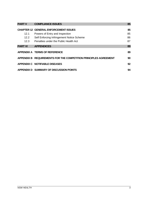| <b>PART V</b>  | <b>COMPLIANCE ISSUES</b>                                         | 85 |
|----------------|------------------------------------------------------------------|----|
|                | <b>CHAPTER 12 GENERAL ENFORCEMENT ISSUES</b>                     | 85 |
| 12.1           | Powers of Entry and Inspection                                   | 85 |
| 12.2           | Self Enforcing Infringement Notice Scheme                        | 86 |
| 12.3           | Penalties under the Public Health Act                            | 87 |
| <b>PART VI</b> | <b>APPENDICES</b>                                                | 89 |
|                | APPENDIX A TERMS OF REFERENCE                                    | 89 |
|                | APPENDIX B REQUIREMENTS FOR THE COMPETITION PRINCIPLES AGREEMENT | 90 |
|                | APPENDIX C NOTIFIABLE DISEASES                                   | 92 |
|                | APPENDIX D SUMMARY OF DISCUSSION POINTS                          | 94 |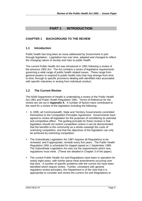# **PART 1 INTRODUCTION**

# **CHAPTER 1 BACKGROUND TO THE REVIEW**

# **1.1 Introduction**

Public health has long been an issue addressed by Government in part through legislation. Legislation has over time, adapted and changed to reflect the changing nature of society and risks to public health.

The current Public Health Act was introduced in 1991 following a review of the previous 1902 Act. The Act contains a series of legislative requirements governing a wide range of public health related issues. These range from general powers to respond to public health risks that may emerge from time to time, through to specific provisions dealing with identified risks associated with specific industries or arising from individual conduct.

# **1.2 The Current Review**

The NSW Department of Health is undertaking a review of the Public Health Act 1991 and Public Health Regulation 1991. Terms of Reference for the review are set out in **Appendix A**. A number of factors have contributed to the need for a review of the legislation including the following.

- In 1995, all Commonwealth, State and Territory Governments committed themselves to the Competition Principles Agreement. Governments have agreed to review all legislation for the purposes of considering its potential anti-competitive effect. The guiding principle for these reviews is that legislation should not restrict competition unless it can be demonstrated that the benefits to the community as a whole outweigh the costs of restricting competition, and that the objectives of the legislation can only be achieved by restricting competition
- The Subordinate Legislation Act 1987 requires all Regulations to be reviewed, and if appropriate, remade every five years. The Public Health Regulation 1991 is scheduled for staged repeal on 1 September 1999. The Subordinate Legislation Act sets out the requirements which new regulations must meet. (These are detailed in Chapter 3 of the paper).
- The current Public Health Act and Regulations have been in operation for nearly eight years, with further piece-meal amendments occurring over that time. A number of specific problems with the current Act have been identified which require review. Further, consistent with general regulatory review principles, the Department is of the view that it is appropriate to consider and review the current Act and Regulations to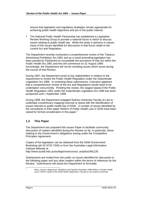ensure that legislative and regulatory strategies remain appropriate for achieving public health objectives and are in the public interest.

• The National Public Health Partnership has established a Legislative Review Working Group to provide a national forum in which to discuss issues relating to public health law. While this body is advisory in nature, many of the issues identified for discussion in that forum relate to the current Act and Regulation.

The Department recently conducted a comprehensive review of the Tobacco Advertising Prohibition Act 1991 and as a result amending legislation has been passed by Parliament to consolidate the provisions of that Act within the Public Health Act 1991 and this will commence on 31 August 1999. Accordingly, the Department will not be revisiting issues which arose during the course of that Review.

During 1997, the Department wrote to key stakeholders in relation to the requirement to review the Public Health Regulation under the Subordinate Legislation Act 1989. In reviewing these submissions, it became apparent that a comprehensive review of the Act and Regulations would need to be undertaken concurrently. Pending this review, the staged repeal of the Public Health Regulation 1991 under the Subordinate Legislation Act 1989 has been postponed until 1 September 1999.

During 1998, the Department engaged Sydney University Faculty of Law to undertake a preliminary mapping exercise to assist with the identification of issues relevant to public health law in NSW. A number of issues identified by the consultants in their paper *Reform of Public Health Law in NSW* have been raised for formal consideration in this paper.<sup>1</sup>

## **1.3 This Paper**

The Department has prepared this Issues Paper to facilitate community discussion of matters identified during the Review so far, in particular, those relating to the Government's obligations arising under the Competition Principles Agreement.

Copies of the legislation can be obtained from the NSW Government Bookshop (ph 02 9743 7200) or from the Australian Legal Information Institute Website at: *http://www.austlii.edu.au/au/legis/nsw/consol\_act/pha1991126.*

Submissions are invited from the public on issues identified for discussion in the following paper and any other matters within the terms of reference for the Review. Submissions will assist the Department to formulate

-1

Allars, Carney, Magnusson, McMahon and Opeskin December 1998 *Reform of Public Health Law in NSW* A report to the NSW Health Department, Faculty of Law Sydney University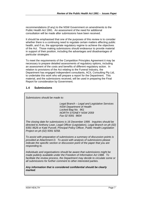recommendations (if any) to the NSW Government on amendments to the Public Health Act 1991. An assessment of the need for additional consultation will be made after submissions have been received.

It should be emphasised that one of the purposes of this review is to consider whether there is a continuing need to regulate certain matters affecting public health, and if so, the appropriate regulatory regime to achieve the objectives of the Act. Those making submissions should endeavour to provide material in support of their position, including the advantages and disadvantages of particular strategies.

To meet the requirements of the Competition Principles Agreement it may be necessary to prepare detailed assessments of regulatory options, including an assessment of the costs and benefits of different regulatory action. In relation to provisions of the Act relating to the Funeral Industry, the Department has engaged independent consultants, ACIL Consulting Pty Ltd, to undertake this work who will prepare a report for the Department. This material, and the submissions received, will be used in preparing the Final Report for consideration by Government.

## **1.4 Submissions**

*Submissions should be made to: Legal Branch – Legal and Legislative Services NSW Department of Health Locked Bag No. 961 NORTH SYDNEY NSW 2059 Fax 02 9391 9604 The closing date for submissions is 16 December 1999. Inquiries should be directed to Anthony Lean, Legal Officer (Legislation), Legal Branch on ph (02) 9391 9626 or Kate Purcell, Principal Policy Officer, Public Health Legislation Project on ph (02) 9391 9258. To assist with preparation of submissions a summary of discussion points is provided at Attachment D. To assist with analysis of submissions please indicate the specific section or discussion point of the paper that you are responding to. Individuals and organisations should be aware that submissions might be made publicly available under the Freedom of Information Act 1988. To facilitate the review process, the Department may decide to circulate some or all submissions for further comment to other interested parties. Any information that is considered confidential should be clearly marked.*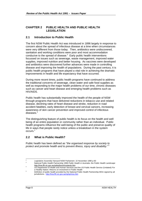# **CHAPTER 2 PUBLIC HEALTH AND PUBLIC HEALTH LEGISLATION**

# **2.1 Introduction to Public Health**

The first NSW Public Health Act was introduced in 1896 largely in response to concern about the spread of infectious disease at a time when circumstances were very different from those today. Then, antibiotics were undiscovered, sanitation and working conditions were poor and most accommodation conducive to the spread of disease. $2$  Early public health interventions focussed on issues such as sewerage, waste management, improved water supplies, improved nutrition and better housing. As vaccines were developed and antibiotics were discovered further advances were made in controlling disease and improving the health of populations. During the past century, it is public health programs that have played a vital role in achieving the dramatic improvements in health and life expectancy that have occurred.

During more recent times, public health programs have continued to address the traditional concerns of sewerage, clean water and safe food supplies as well as responding to the major health problems of our time, chronic diseases such as cancer and heart disease and emerging health problems such as HIV/AIDS.

Public health has substantially improved the health of the people of NSW through programs that have delivered reductions in tobacco use and related disease, declining rates of heart disease and stroke, reduction in road accident fatalities, early detection of breast and cervical cancers, increasing awareness of skin cancer prevention and improved control of infectious diseases.<sup>3</sup>

The distinguishing feature of public health is its focus on the health and well being of an entire population or community rather than an individual. Public health programs influence the well-being of the public and preserve quality of life in ways that people rarely notice unless a breakdown in the system occurs.<sup>4</sup>

# **2.2 What is Public Health?**

Public health has been defined as "*the organised response by society to protect and promote health and to prevent illness, injury and disability*." <sup>5</sup>

 $\frac{1}{2}$ *Legislative Assembly Hansard* NSW Parliament 22 November 1990 p 60

<sup>3</sup> National Public Health Partnership 1998 *Public Health in Australia- the Public Health Landscape*

http://hna.ffh.vic.gov.au/nphp/broch/contents.htm <sup>4</sup> US Department of Health and Human Services and the US Public Health Service (Undated) *For a Healthy Nation: Returns on Investment in Public Health*

<sup>&</sup>lt;sup>5</sup><br><sup>5</sup> Definition of public health provided by the National Public Health Partnership MOU signed by all jurisdictions. http://hna.ffh.vic.gov.au/nphp/mou.htm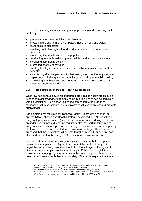Public health strategies focus on improving, protecting and promoting public health by:

- preventing the spread of infectious diseases;
- protecting the environment, workplaces, housing, food and water;
- responding to disasters;
- reaching out to link high risk and hard to reach people to necessary services;
- monitoring the health status of the population;
- conducting research to develop new insights and innovative solutions;
- mobilising community action;
- promoting healthy behaviours<sup>6</sup>;
- creating healthy environments such as healthy workplaces and healthy schools;
- establishing effective partnerships between government, non government organisations, industry and community groups to improve public health;
- developing health policies and programs to address both current and emerging public health risk.

# **2.3 The Purpose of Public Health Legislation**

While law has always played an important part in public health practice, it is important to acknowledge that many gains in public health can be achieved without legislation. Legislation is just one component of the range of responses that governments use to implement policies to protect and promote public health.

For example both the National Tobacco Control Policy<sup>7</sup> developed in 1991 and the NSW Tobacco and Health Strategy<sup>8</sup> developed in 1995 identified a range of legislative initiatives (prohibitions on tobacco advertising, restrictions on under-age supply and labelling requirements) that work in tandem with programs such as health promotion campaigns, cessation support and pricing strategies to form a consolidated tobacco control strategy. There it was proposed that these initiatives all operate together, mutually supporting each other and directed to the one goal of reducing tobacco consumption.<sup>9</sup>

In certain situations it is necessary to legislate to ensure that appropriate measures are in place to safeguard and protect the health of the public. Legislation is necessary to underpin activities that infringe on the rights of others or require people to act in certain ways. Public health legislation focuses on managing high risk activities in the community, which have the potential to threaten public health and safety. The public expects that there

l <sup>6</sup> US Department of Health and Human Services and the US Public Health Service*,* op cit.

<sup>7</sup> National Campaign Against Drug 1991 Abuse *National Tobacco Policy*

<sup>8</sup> NSW Department of Health 1995 *NSW Tobacco and Health Strategy 1995-1999*

<sup>9</sup> Reynolds C 'Ideas and Arguments about Public Health Law*'* in *Public Health Law in Australia – New Perspectives,* Australian Institute of Health, Law and Ethics 1998 at p 21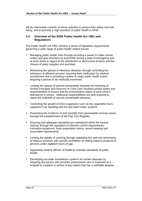will be reasonable controls on these activities to protect their safety and well being, and to promote a high standard of public health in NSW.

# **2.4 Overview of the NSW Public Health Act 1991 and Regulations**

The Public Health Act 1991 contains a series of legislative requirements governing a wide range of public health related issues:

- Managing public health risks through providing a power to make certain orders and give directions to authorities during a state of emergency and at other times in regard to the disinfection or destruction of items and the closure of water supplies and premises.
- Minimising the spread of infectious diseases through controlling the behaviour of affected persons, requiring their notification by medical practitioners and in providing a power to make public health orders requiring a person to be medically examined.
- Limiting the spread of vaccine preventable diseases by imposing on School Principals and Directors of Child Care Facilities certain duties and responsibilities to ensure that the immunisation status of each child in attendance is known. Additional responsibilities are also imposed to report the outbreak of vaccine preventable diseases.
- Controlling the growth of micro-organisms such as the Legionella microorganism in air handling and hot and warm water systems.
- Preventing the incidence of and mortality from preventable cervical cancer through the establishment of the Pap Test Register.
- Ensuring that adequate standards are maintained within the funeral industry through the regulation of infection control requirements, cremation equipment, body preparation rooms, record keeping and associated requirements.
- Limiting the uptake of smoking through regulating the sale and advertising of tobacco products with specific prohibition on selling tobacco products to persons under eighteen years of age.
- Appointing medical officers of health to maintain standards of public health.
- Developing accurate surveillance systems for certain diseases by requiring any person who provides professional care or treatment at a hospital to a patient to advise of any patient that has a notifiable disease.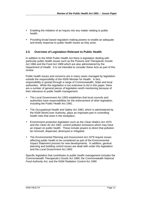- Enabling the initiation of an inquiry into any matter relating to public health.
- Providing broad based regulation making powers to enable an adequate and timely response to public health issues as they arise.

# **2.5 Overview of Legislation Relevant to Public Health**

In addition to the NSW Public Health Act there is legislation dealing with particular public health issues such as the Poisons and Therapeutic Goods Act 1966 and the Food Act 1989 which are also administered by the Department of Health. It is not intended to consider these Acts as part of this review.

Public health issues and concerns are in many cases managed by legislation outside the responsibility of the NSW Minister for Health. In fact, responsibility is spread through a range of Commonwealth, State and local authorities. While this legislation is too extensive to list in this paper, there are a number of general pieces of legislation worth mentioning because of their relevance to public health management:

- The *Local Government Act 1993* establishes that local councils and authorities have responsibilities for the enforcement of other legislation, including the Public Health Act 1991.
- The *Occupational Health and Safety Act 1983*, which is administered by the NSW WorkCover Authority, plays an important part in controlling health risks that arise in the workplace.
- Environment protection legislation such as the *Clean Waters Act 1970*, and the *Clean Air Act 1961*, control pollution emissions which may have an impact on public health. These include powers to direct that pollution be removed, dispersed, destroyed or mitigated.
- The *Environmental Planning and Assessment Act 1979* require issues affecting public health to be considered as part of the Environmental Impact Statement process for new developments. In addition, general planning and building control issues are dealt with under this legislation and the *Local Government Act 1993*.

Specific legislation that contributes to public health management includes the Commonwealth *Therapeutics Goods Act 1989*, the Commonwealth *National Food Authority Act*, and the NSW *Radiation Control Act 1990*.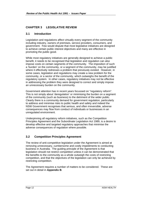# **CHAPTER 3 LEGISLATIVE REVIEW**

# **3.1 Introduction**

Legislation and regulations affect virtually every segment of the community including industry, owners of premises, service providers, consumers, and government. Few would dispute that most legislative initiatives are designed to achieve certain public interest objectives and many are effective in promoting the public good.

While most regulatory initiatives are generally designed to achieve a public benefit, it needs to be recognised that legislation and regulation can also impose costs on certain segments of the community. The imposition of such a 'burden' on the community, or a segment of the community, may be justified where it effectively redresses a problem that previously existed. However, in some cases, legislation and regulations may create a new problem for the community, or a sector of the community, which outweighs the benefit of the regulatory system. In other cases, regulatory initiatives may not be effective in addressing the problem they were designed to correct and simply impose an unnecessary burden on the community.

Government attention has in recent years focussed on "regulatory reform". This is not simply about 'deregulation' or minimising the burden on a segment of the community (such as business) to the detriment of the wider public. Clearly there is a community demand for government regulation, particularly to address and minimise risks to public health and safety and indeed the NSW Government recognises that serious, and often irreversible, adverse consequences may flow from conduct of individuals or businesses in an unregulated environment.

Underpinning all regulatory reform initiatives, such as the Competition Principles Agreement and the Subordinate Legislation Act 1989, is a desire to develop effective and targeted regulatory approaches that minimise the adverse consequences of regulation where possible.

# **3.2 Competition Principles Agreement**

The review of anti-competitive legislation under the Agreement is aimed at removing unnecessary, cumbersome and costly impediments to conducting business in Australia. The guiding principle of the Agreement is that legislation should not restrict competition unless it can be demonstrated that the benefits to the community as a whole outweigh the costs of restricting competition, and that the objectives of the legislation can only be achieved by restricting competition.

The Agreement requires a number of matters to be considered. These are set out in detail in **Appendix B**.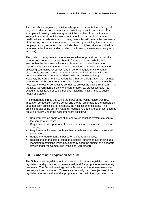As noted above, regulatory initiatives designed to promote the public good may have adverse consequences because they restrict competition. For example, a licensing system may restrict the number of people that can engage in a specific activity to ensure that only those that hold certain qualifications provide services. In many cases this will be an effective means of protecting consumers from harm. However, by restricting the number of people providing services, this could also lead to higher prices for individuals, or worse, a decline in standards (which the licensing system was designed to improve).

The goals of the Agreement are to assess whether provisions that restrict competition produce an overall benefit for the public as a whole, and to ensure that the least restrictive option is selected. Underpinning the Agreement is a view that unrestricted competition is an effective means of allocating community resources, and in general, regulatory intervention should only proceed where there are clearly identified problems in the unregulated environment (otherwise known as 'market failure'). However, the Agreement also recognises that not all legislation that restricts competition will be contrary to the public interest. In many cases it may be necessary to restrict competitive conduct to protect the public from harm. It is the NSW Government's policy to ensure that review processes take into account the full range of public benefits, including limiting risks to public health and safety.

It is important to stress that while the parts of the Public Health Act 1991 impact on competition, others do not and are not amenable to the application of competition principles, for example, the notification of disease. The principle areas of the current Act and Regulations that have been identified as requiring review under the Agreement are as follows:

- Requirements on operators of air and water handling systems to control the spread of disease;
- Requirements on operators of public swimming pools to limit the spread of disease;
- Requirements imposed on those that provide services which involve skin penetration;
- Regulatory requirements imposed on the funeral industry;
- Restrictions on the sale of tobacco products (other than advertising and marketing restrictions which have already been the subject of a separate review under the Competition Principles Agreement).

## **3.3 Subordinate Legislation Act 1989**

The Subordinate Legislation Act requires all subordinate legislation, such as regulations and guidelines, to be reviewed, and if appropriate, remade every five years. The Subordinate Legislation Act sets out the requirements which new regulations must meet. These are essentially that the objectives of the regulation are reasonable and appropriate, accord with the objectives of the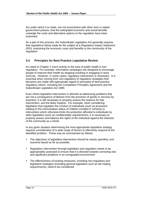Act under which it is made, are not inconsistent with other Acts or stated government policies, that the anticipated economic and social benefits outweigh the costs and alternative options to the regulation have been examined.

As a part of this process, the Subordinate Legislation Act generally requires that regulations being made be the subject of a Regulatory Impact Statement (RIS), examining the economic costs and benefits to the community of the regulation.

# **3.4 Principles for Best Practice Legislative Review**

As noted in Chapter 2 much activity in the area of public health is nonregulatory. For example, information campaigns are designed to encourage people to improve their health by stopping smoking or engaging in more exercise. However, in some cases, regulatory intervention is necessary. It is essential when moving from non-regulatory to regulatory strategies that decisions are made with appropriate regard to principles of best practice regulatory reform, including the Competition Principles Agreement and the Subordinate Legislation Act 1989.

Even where legislative intervention is directed at addressing problems that are not a consequence of failures from the provision of goods or services by business, it is still necessary to properly assess the reasons for that intervention, and the likely impacts. For example, when considering legislation that regulates the conduct of individuals (such as provisions relating to the immunisation status of children enrolled in schools) or intervention which otherwise limits the protection afforded to individuals by other legislation (such as confidentiality requirements), it is necessary to properly assess and balance the rights of the individual against the interests of the community as a whole.

In any given situation determining the most appropriate legislative strategy requires consideration of a wide range of factors to effectively respond to the identified problem. These may be summarised as follows:

- The objectives of legislative intervention should be clearly specified, and outcome based as far as possible;
- Regulatory intervention through legislation and regulation needs to be appropriately assessed to ensure that it is directed towards correcting real and significant problems in an unregulated environment;
- The effectiveness of existing measures, including non-regulatory and legislative strategies (including general legislation such as fair trading requirements), need to be considered;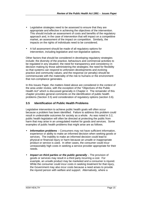- Legislative strategies need to be assessed to ensure that they are appropriate and effective in achieving the objectives of the intervention. This should include an assessment of costs and benefits of the regulatory approach and, in the case of intervention that will impact on a competitive market, an assessment of the impact on competition. Similarly, the impacts on the rights of individuals need to be considered;
- A full assessment should be made of all regulatory options for intervention, including legislative and non-legislative options;

Other factors that should be considered in developing regulatory strategies include: the diversity of the practice, behaviours and commercial activities to be regulated in any situation; the need for transparency and consistency in decision making by those administering the strategies; the need for flexibility so that systems can respond to unforseen developments and evolving practice and community values; and the response (or penalty) should be commensurate with the materiality of the risk to humans or the environment that non-compliance generates.

In this Issues Paper, the matters listed above are considered in the context of the area under review, with the exception of the "Objectives of the Public Health Act" which is discussed generally in Chapter 4. The remainder of this chapter provides general comments on the identification of public health problems (Section 3.5) and consideration of regulatory options (section 3.6).

## **3.5 Identification of Public Health Problems**

Legislative intervention to achieve public health goals will often occur because a problem has been identified. Failure to address this problem could result in undesirable outcomes for society as a whole. As was noted in 3.2, public health legislation will often be directed at protecting the public from harm that may arise in an unregulated market for goods and services. Some examples of public health problems that might arise are as follows.

- *Information problems* Consumers may not have sufficient information, experience or ability to make an informed decision when seeking goods or services. The inability to make an informed decision could lead to physical or financial injury or harm because an unsafe or inappropriate product or service is used. In other cases, the consumer could incur unreasonably high costs in seeking a service provider appropriate for their needs.
- **Impact on third parties or the public generally** The provision of goods or services may result in a third party incurring a cost. For example, an unsafe product may be marketed and a consumer is injured. While the consumer could incur costs in seeking treatment for that injury, the Government may also incur costs because a need arises to provide the injured person with welfare and support. Alternatively, where a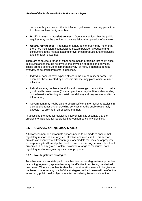consumer buys a product that is infected by disease, they may pass it on to others such as family members.

- *Public Access to Goods/Services*  Goods or services that the public requires may not be provided if they are left to the operation of a market.
- *Natural Monopolies* Presence of a natural monopoly may mean that there are insufficient countervailing powers between producers and consumers in the market, leading to overpriced products and/or services and inefficient outcomes.

There are of course a range of other public health problems that might arise in circumstances that do not involve the provision of goods and services. These are too extensive to comprehensively list here, although a general overview of potential problems is identified.

- Individual conduct may expose others to the risk of injury or harm for example, those infected by a specific disease may place others at risk if infection.
- Individuals may not have the skills and knowledge to assist them to make good health care choices (for example, there may be little understanding of the benefits of testing for certain conditions) and may require additional information;
- Government may not be able to obtain sufficient information to assist it in discharging functions or providing services that the public reasonably expects it to provide in an effective manner.

In assessing the need for legislative intervention, it is essential that the problems or rationale for legislative intervention be clearly identified.

# **3.6 Overview of Regulatory Models**

A full assessment of appropriate options needs to be made to ensure that regulatory responses are targeted, effective and measured. This section provides an overview of different regulatory models that may be appropriate for responding to different public health risks or achieving certain public health outcomes. For any given problem, however, a range of measures, both regulatory and non-regulatory may be appropriate.

## **3.6.1 Non-legislative Strategies**

To achieve an appropriate public health outcome, non-legislative approaches or existing regulatory approaches may be effective in achieving the desired outcomes. Where a problem is identified, consideration needs to be given to the issue of whether any or all of the strategies outlined below will be effective in securing public health objectives after considering issues such as the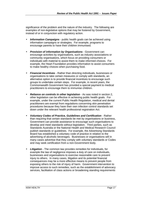significance of the problem and the nature of the industry. The following are examples of non-legislative options that may be fostered by Government, instead of or in conjunction with regulatory action.

- **Information Campaigns** public health goals can be achieved using information campaigns or strategies. For example, programs to encourage parents to have their children immunised.
- *Provision of information by Organisations* Government can encourage activities by organisations, such as industry associations or community organisations, which focus on providing consumers or individuals with material to assist them to make informed choices. For example, the Heart Foundation provides information to assist consumers to make healthy choices when purchasing food.
- *Financial Incentives* Rather than directing individuals, businesses or organisations to take certain measures or comply with standards, an alternative option is to provide financial incentives to encourage such groups to undertake certain steps. For example, in recent years, the Commonwealth Government has provided a special payment to medical practitioners to encourage them to immunise children.
- *Reliance on controls in other legislation* As was noted in section 2, other legislation can be effective in achieving public health goals. For example, under the current Public Health Regulation, medical and dental practitioners are exempt from regulations concerning skin penetration procedures because they have their own infection control standards set down under the relevant health professional registration Act.
- *Voluntary Codes of Practice, Guidelines and Certification*  Rather than requiring that certain standards be met by organisations or business, Government can provide assistance to encourage such organisations to develop and meet standards without legislation. Third parties, such as Standards Australia or the National Health and Medical Research Council publish standards or guidelines. For example, the Advertising Standards Board has established a voluntary code of practice in relation to the advertising of alcoholic beverages. Businesses or organisations will in many cases advertise that they comply with voluntary standards or Codes and may seek certification from a non-Government body.
- *Litigation* The common law provides remedies for individuals, for example the law of negligence imposes a duty of care on individuals, businesses and organisations to exercise reasonable care to prevent injury to others. In many cases, litigation and its potential financial consequences may be a more effective means to prevent people from exposing others to the risk of injury of harm. Government intervention to improve access to such remedies, such as the establishment of advocacy services, facilitation of class actions or broadening standing requirements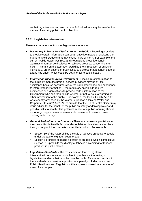so that organisations can sue on behalf of individuals may be an effective means of securing public health objectives.

#### **3.6.2 Legislative Intervention**

There are numerous options for legislative intervention.

- *Mandatory Information Disclosure to the Public*Requiring providers to provide certain information can be an effective means of assisting the public to avoid products that may cause injury or harm. For example, the current Public Health Act 1991 and Regulations prescribe certain warnings that must be displayed on tobacco products concerning their risks. A variant on this approach would be the introduction of duties on individuals, organisations or businesses to disclose that a certain state of affairs has arisen which could be detrimental to public health.
- *Information Disclosure to Government* Disclosure of information to the public by manufacturers or service providers may be of little assistance because consumers lack the skills, knowledge and experience to interpret that information. One regulatory option is to require businesses or organisations to provide certain information to the Government who can then decide whether or not to issue a warning or other information to the public. For example, the Public Health Act 1991 was recently amended by the Water Legislation (Drinking Water and Corporate Structure) Act 1998 to provide that the Chief Health Officer may issue advice for the benefit of the public on safety or drinking water and possible risks to health. The potential impact of a public warning should encourage suppliers to take reasonable measures to ensure a safe drinking water supply.
- *General Prohibitions on Conduct*There are numerous provisions in the current Public Health Act whereby legislative objectives are achieved through the prohibition on certain specified conduct. For example:
	- Section 59 of the Act prohibits the sale of tobacco products to people under the age of eighteen years of age;
	- Section 6 prohibits exposing a person to an object which is infectious;
	- Section 61B prohibits the display of tobacco advertising for tobacco products in public places.
- *Legislative Standards*The most common form of legislative intervention in response to public health problems is the setting of legislative standards that must be complied with. Failure to comply with the standards can result in imposition of a penalty. Under the current Public Health Act and Regulations, this approach is used in a number of areas, for example: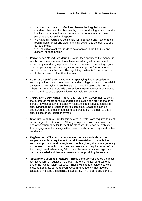- to control the spread of infectious disease the Regulations set standards that must be observed by those conducting procedures that involve skin penetration such as acupuncture, tattooing and ear piercing, and for swimming pools;
- the Act and Regulations set installation, operating and maintenance requirements for air and water handling systems to control risks such as legionnella;
- the Regulations set standards to be observed in the handling and disposal of dead bodies.
- *Performance Based Regulation* Rather than specifying the manner in which companies are meant to achieve a certain goal or outcome, for example by mandating a process that must be used in preparing a good or when providing a service, legislation sets targets or 'performance standards' that must be met. The regulatory system is focussed on the end to be achieved, rather than the means.
- *Voluntary Certification* Rather than specifying that all suppliers or service providers must meet certain standards, legislation would establish a system for certifying those that elect to meet the standards. While others can continue to provide the service, those that elect to be certified gain the right to use a specific title or accreditation symbol.
- **Third Party Certification** Rather than relying on Government to certify that a product meets certain standards, legislation can provide that third parties may conduct the necessary inspections and issue a certificate specifying that the product or service complies. Again, this can be structured so that those that elect to be certified gain the right to use a specific title or accreditation symbol.
- *Negative Licensing*  Under this system, operators are required to meet certain legislative standards. Although no pre-approval is required before operation, where they fail to meet the standards they can be prohibited from engaging in the activity, either permanently or until they meet certain conditions.
- **Registration** The requirement to meet certain standards can be supplemented by a requirement that all those wishing to provide the service or product **must** be registered. Although registrants are generally not required to establish that they can meet certain requirements before being registered, where they fail to meet the standards their registration can be cancelled and they are prevented from providing the service.
- *Activity or Business Licensing* This is generally considered the most restrictive form of regulation, although there are no licensing systems under the Public Health Act 1991. Those wishing to provide a service must demonstrate to the relevant Government agency that they are capable of meeting the legislative standards. This is generally done by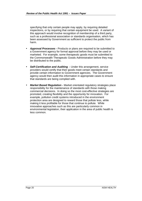specifying that only certain people may apply, by requiring detailed inspections, or by requiring that certain equipment be used. A variant of this approach would involve recognition of membership of a third party, such as a professional association or standards organisation, which has been assessed by Government as sufficient to protect the public from harm.

- *Approval Processes* Products or plans are required to be submitted to a Government agency for formal approval before they may be used or marketed. For example, some therapeutic goods must be submitted to the Commonwealth Therapeutic Goods Administration before they may be distributed to the public.
- *Self-Certification and Auditing* Under this arrangement, service providers would certify that their goods meet certain standards and provide certain information to Government agencies. The Government agency would then audit this information in appropriate cases to ensure that standards are being complied with.
- *Market Based Regulation* Market orientated regulatory strategies place responsibility for the maintenance of standards with those making commercial decisions. In doing so the most cost-effective strategies are promoted, creating flexibility and the opportunity for innovation. For example, pollution credit systems introduced in the environment protection area are designed to reward those that pollute less, while making it less profitable for those that continue to pollute. While innovative approaches such as this are particularly common in environmental legislation, their application in the area of public health is less common.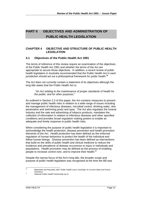# **PART II OBJECTIVES AND ADMINISTRATION OF PUBLIC HEALTH LEGISLATION**

# **CHAPTER 4 OBJECTIVE AND STRUCTURE OF PUBLIC HEALTH LEGISLATION**

# **4.1 Objectives of the Public Health Act 1991**

The terms of reference of this review require an examination of the objectives of the Public Health Act 1991 and whether the terms of the Act are appropriate to secure those objectives. In addition, a recent review of public health legislation in Australia recommended that the Public Health Act in each jurisdiction should set out a philosophical framework for public health.**<sup>10</sup>**

The Act does not currently contain a statement of its objectives although the long title states that the Public Health Act is:

"*An Act relating to the maintenance of proper standards of health for the public; and for other purposes.*"

As outlined in Section 2.3 of this paper, the Act contains measures to prevent and manage public health risks in relation to a wide range of issues including the management of infectious diseases, microbial control, drinking water, skin penetration and swimming pools and spas. The Act also regulates the funeral industry and the sale and advertising of tobacco products, mandates the collection of information in relation to infectious diseases and other specified conditions and provides broad regulation making powers to enable an adequate and timely response to public health risks.

When considering the purpose of public health legislation it is important to acknowledge the health protection, disease prevention and health promotion elements of the Act. *Health protection* has been defined as the enforced regulation of human behaviour to protect the health of the individual and fellow human beings. *Disease prevention* has been defined as interventions that build on the skills of public health and clinical medicine to reduce the incidence and prevalence of disease occurrence or injury in individuals and populations*. Health promotion* may be defined as the process of enabling people to increase control over, and to improve their health.**<sup>11</sup>**

Despite the narrow focus of the Act's long title, the broader scope and purpose of public health legislation was recognised at the time the Bill was

 $10$ <sup>10</sup> Bidmeade and Reynolds 1997 *Public Health Law in Australia: Its Current State and Future Directions*

<sup>11</sup> National Public Health Partnership op cit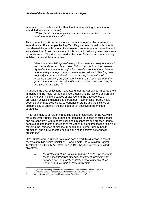introduced, with the Minister for Health of that time stating (in relation to scheduled medical conditions):

"*Public health action may include education, prevention, medical treatment or notification*"*. 12*

This broader focus is perhaps more expressly recognised by more recent amendments. For example the Pap Test Register established under the Act has allowed the establishment of a screening program for the prevention and early detection of cervical cancer which is crucial in reducing death rates from cervical cancer. The Minister stated at the time of introducing the amending legislation to establish the register:

"*Every year in NSW, approximately 350 women are newly diagnosed with cervical cancer. Every year, 100 women die from this disease. By earlier intervention through widespread screening, the incidence and mortality amongst these women can be reduced. The [pap test register] is fundamental to the successful implementation of an organised screening program, providing a seamless system for the prevention and early detection of cervical cancer…Put most simply, the Bill will save lives.*" *13*

In addition the data collections mandated under the Act play an important role in monitoring the health of the population, identifying risk factors and groups at risk and examining the causes of disease and the effectiveness of prevention activities, diagnosis and treatment interventions. Public health depends upon data collections, surveillance systems and the science of epidemiology to underpin the development of effective programs and strategies.

It may be timely to consider introducing a set of objectives for the Act which more accurately reflect the purpose of regulating in relation to public health and are consistent with modern public health concepts and practice. It has been suggested that the functions of the Act should encompass the following: reducing the incidence of disease, ill health and untimely death; health promotion; and future oriented health planning to achieve better health outcomes.**<sup>14</sup>**

Other States and Territories have also considered this question in recent reviews of public health legislation. For example, the Australian Capital Territory Public Health Act introduced in 1997 has the following detailed objectives:

> *(a) the protection of the public from public health risks including those associated with facilities, equipment, products and activities not adequately controlled by another law of the Territory or a law of the Commonwealth;*

 $12$ <sup>12</sup> *Legislative Assembly Hansard* NSW Parliament 22 November 1990 at page 10398

<sup>13</sup> *Legislative Council Hansard* NSW Parliament, 17 April 1996 at p 87

Allars, Carney, Magnusson, McMahon and Opeskin opcit p 37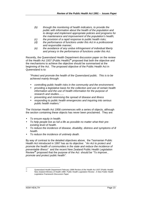- *(b) through the monitoring of health indicators, to provide the public with information about the health of the population and to design and implement appropriate policies and programs for the maintenance and improvement of the population's health;*
- *(c) the provision of a rapid response to public health risks;*
- *(d) the performance of functions under this Act in a professional and responsible manner;*
- *(e) the avoidance of any undue infringement of individual liberty and privacy in the performance of functions under this Act.*

Recently, the Queensland Health Department discussion paper on the review of the Health Act 1937 (Public Health)**<sup>15</sup>** proposed that both the objective and the mechanisms to achieve the objective should be summarised at the beginning of the Act. The proposed objective of the Public Health Act in Queensland is to:

"*Protect and promote the health of the Queensland public. This is to be achieved mainly through:*

- *controlling public health risks in the community and the environment;*
- *providing a legislative basis for the collection and use of certain health information and the use of health information for the purpose of research and studies.......*
- *preventing and minimising the spread of disease and illness*
- *responding to public health emergencies and inquiring into serious public health matters.*"

The Victorian Health Act 1958 commences with a series of objects, although the section containing these objects has never been proclaimed. They are:

- *To ensure equity in health.*
- *To help people live as full a life as possible no matter what their preexisting level of health.*
- *To reduce the incidence of disease, disability, distress and symptoms of ill health.*
- *To reduce the incidence of untimely death.*

By way of contrast to the detailed objectives above, the Tasmanian Public Health Act introduced in 1997 has as its objective:"*An Act to protect and promote the health of communities in the state and reduce the incidence of preventable illness*" and the recent New Zealand Public Health Legislation Review**<sup>16</sup>** proposed that the purpose of the Act should be "*To improve , promote and protect public health".*

 $15$ 

<sup>15</sup> Queensland Health Department February 1998 *Review of the Health Act 1937 (Public Health)* <sup>16</sup> New Zealand Ministry of Health 1998 *Public Health Legislation Review : A New Public Health Legislative Framework Discussion Paper*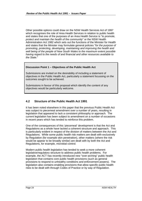Other possible options could draw on the NSW Health Services Act of 1997 which recognises the role of Area Health Services in relation to public health and states that one of the purposes of an Area Health Service is "*to promote, protect and maintain the health of the community*" or the NSW Health Administration Act 1982 which sets out the functions of the Minister for Health and states that the Minister may formulate general policies "*for the purpose of promoting, protecting, developing, maintaining and improving the health and well being of the people of New South Wales to the maximum extent possible having regard to the needs of and financial and other resources available to the State.*"

#### **Discussion Point 1 – Objectives of the Public Health Act**

Submissions are invited on the desirability of including a statement of objectives in the Public Health Act, particularly a statement focussing on the outcomes sought to be achieved.

Submissions in favour of this proposal which identify the content of any objectives would be particularly welcome.

# **4.2 Structure of the Public Health Act 1991**

It has been noted elsewhere in this paper that the previous Public Health Act was subject to piecemeal amendment over a number of years, resulting in legislation that appeared to lack a consistent philosophy or approach. The current legislation has been subject to amendment on a number of occasions in recent years which has tended to reinforce this problem.

One of the consequences of this 'piecemeal' development is that the Act and Regulations as a whole have lacked a coherent structure and approach. This is particularly evident in respect of the division of matters between the Act and Regulations. While some public health risk matters are dealt with exclusively by Regulation (for example skin penetration), other matters (where the risk would be appear to be broadly similar) are dealt with by both the Act and Regulations, for example, microbial control.

Modern public health legislation has tended to seek a more coherent legislative/regulatory structure to address public health problems. For example, the ACT has recently introduced new "over-arching" public health legislation that contains core public health provisions (such as general provisions to respond to unhealthy conditions and enforcement powers). The legislation also contains enabling provisions that allow specific public health risks to be dealt with through Codes of Practice or by way of Regulation.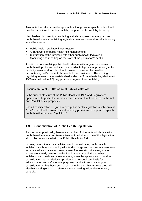Tasmania has taken a similar approach, although some specific public health problems continue to be dealt with by the principal Act (notably tobacco).

New Zealand is currently considering a similar approach whereby a core public health statute containing legislative provisions to address the following would be enacted:

- Public health regulatory infrastructure;
- A framework for public health risk management;
- Clarification of the interface with other public health legislation;
- Monitoring and reporting on the state of the population's health.

A shift to a core enabling public health statute, with targeted responses to public health problems contained in subordinate legislation, provides greater flexibility to respond to public health issues. However, the need for accountability to Parliament also needs to be considered. The existing regulatory review process established under the Sub-ordinate Legislation Act 1989 (as outlined in 3.3) may provide a degree of accountability.

## **Discussion Point 2 – Structure of Public Health Act**

Is the current structure of the Public Health Act 1991 and Regulations appropriate. In particular, is the current division of matters between the Act and Regulations appropriate?

Should consideration be given to new public health legislation which contains "core" public health provisions and enabling provisions to respond to specific public health issues by Regulation?

# **4.3 Consolidation of Public Health Legislation**

As was noted previously, there are a number of other Acts which deal with public health matters. An issue arises as to whether some of this legislation should be consolidated with the Public Health Act 1991.

In many cases, there may be little point in consolidating public health legislation such as that dealing with food or drugs and poisons as these have separate administrative and enforcement frameworks. However, where issues are already covered by the Public Health Act 1991 and other legislation also deals with these matters, it may be appropriate to consider consolidating that legislation to provide a more consistent basis for administration and enforcement purposes. A significant advantage of consolidation is that those businesses or individuals that are regulated will also have a single point of reference when seeking to identify regulatory controls.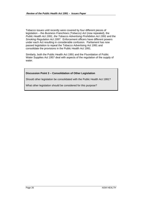Tobacco issues until recently were covered by four different pieces of legislation – the *Business Franchises (Tobacco) Act* (now repealed), the *Public Health Act 1991*, *the Tobacco Advertising Prohibition Act 1991* and the *Smoking Regulation Act 1997*. Enforcement officers have different powers under each Act resulting in considerable confusion. Parliament has now passed legislation to repeal the Tobacco Advertising Act 1991 and consolidate the provisions in the Public Health Act 1991.

Similarly, both the Public Health Act 1991 and the Fluoridation of Public Water Supplies Act 1957 deal with aspects of the regulation of the supply of water.

#### **Discussion Point 3 – Consolidation of Other Legislation**

Should other legislation be consolidated with the Public Health Act 1991?

What other legislation should be considered for this purpose?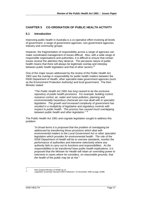# **CHAPTER 5 CO-ORDINATION OF PUBLIC HEALTH ACTIVITY**

## **5.1 Introduction**

Improving public health in Australia is a co-operative effort involving all levels of government, a range of government agencies, non-government agencies, industry and community groups.

However, the fragmentation of responsibility across a range of agencies can make coordinated management of issues difficult. Also, with a wide range of responsible organisations and authorities, it is difficult to ensure that certain issues receive the attention they deserve. The pervasive nature of public health means that there will always be legitimate overlap and interplay between public health legislation and that of other sectors.**<sup>17</sup>**

One of the major issues addressed by the review of the Public Health Act 1902 was the overlap in responsibility for public health matters between the NSW Department of Health, other specialist state government agencies (such as the Environment Protection Authority) and local government. The then Minister stated:

"*The Public Health Act 1991 has long ceased to be the exclusive repository of public health provisions. For example, building control, nuisance control, air, water and noise pollution, planning and environmentally hazardous chemicals are now dealt with in specialist legislation. The growth and increased complexity of government has resulted in a multiplicity of legislative and regulatory controls with respect to public health. This process has caused much overlapping between public health and other legislation.*" *18*

The Public Health Act 1991 and cognate legislation sought to address this problem:

"*In broad terms it is proposed that the problem of overlapping be addressed by transferring those provisions which deal with environmental matters to the Local Government Act or other specialist legislation which provides for environmental health. The role of the NSW Department of Health will be to oversee standards, monitor the performance of authorities and intervene selectively where any authority fails to carry out its functions and responsibilities. As the responsibilities to be transferred have public health implications, it is proposed that the Minister for Health will retain an overriding power to intervene in cases where he considers, on reasonable grounds, that the health of the public may be at risk.*"

 $17$ <sup>17</sup> New Zealand Ministry of Health op cit

<sup>18</sup> *Legislative Assembly Hansard* NSW Parliament 22 November 1990 at page 10398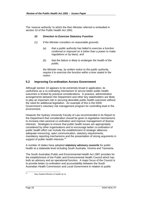The 'reserve authority' to which the then Minister referred is embodied in section 10 of the Public Health Act 1991.

#### *10 Direction to Exercise Statutory Function*

- *(1) If the Minister considers on reasonable grounds:*
	- *(a) that a public authority has failed to exercise a function conferred or imposed on it (other than a power to make regulations or by-laws), and*
	- *(b) that the failure is likely to endanger the health of the public,*

*the Minister may, by written notice to the public authority, require it to exercise the function within a time stated in the notice.*

# **5.2 Improving Co-ordination Across Government**

Although section 10 appears to be extremely broad in application, its usefulness as a co-ordinating mechanism to secure better public health outcomes is limited by practical considerations. In practice, administrative arrangements between the Department and other key stakeholders are likely to play an important role in securing desirable public health outcomes without the need for additional legislation. An example of this is the NSW Government's voluntary risk management program for controlling lead in the environment.

However the Sydney University Faculty of Law recommended in its Report to the Department that consideration should be given to legislative mechanisms to increase inter-sectoral co-ordination and improve management of diverse interests. Strategies to ensure that public health issues are appropriately considered by other organisations and to encourage better co-ordination of public health effort can include the establishment of strategic alliances, adequate resourcing, open communication, statutory requirements, mandatory reporting mechanisms and the presentation of strong arguments in support of public health interests.<sup>19</sup>

A number of states have adopted **statutory advisory councils** for public health at a statewide level including South Australia, Victoria and Tasmania.

The South Australian Public and Environmental Health Act 1987 provides for the establishment of the Public and Environmental Health Council which has both an advisory and an operational function. A major focus of the Council is to provide better co-ordination and accountability between the South Australian Health Commission and Local Government in relation to public

 $\overline{19}$ 

New Zealand Ministry of Health op cit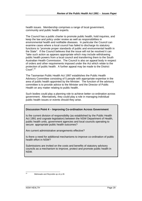health issues. Membership comprises a range of local government, community and public health experts.

The Council has a public charter to promote public health, hold inquiries, and keep the law and policy under review as well as responsibilities in environmental health and notifiable diseases. In particular the Council can examine cases where a local council has failed to discharge its statutory functions to "promote proper standards of public and environmental health in the State". If the Council believes that the issue will not be resolved it can "take such action as appears appropriate which may include withdrawing public health powers from a local council and transferring them to the South Australian Health Commission. The Council is also an appeal body in respect of orders and other requirements imposed under the Act which relate to the protection of public health. A further appeal may be made to the District Court".<sup>20</sup>

The Tasmanian Public Health Act 1997 establishes the Public Health Advisory Committee consisting of 5 people with appropriate expertise in the area of public health appointed by the Minister. The function of the advisory committee is to provide advice to the Minister and the Director of Public Health on any matter relating to public health.

Such bodies could play a planning role to achieve better co-ordination across government. Alternatively, they could play a role in managing individual public health issues or events should they arise.

#### **Discussion Point 4 – Improving Co-ordination Across Government**

Is the current division of responsibility (as established by the Public Health Act 1991 and cognate legislation) between the NSW Department of Health, public health units, government agencies and local councils operating to secure appropriate public health outcomes?

Are current administrative arrangements effective?

Is there a need for additional mechanisms to improve co-ordination of public health effort in NSW?

Submissions are invited on the costs and benefits of statutory advisory councils as a mechanism to improve, protect and promote public health in NSW.

 $20^{\circ}$ 

Bidmeade and Reynolds op cit p 26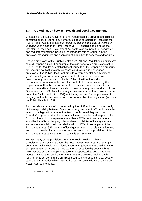# **5.3 Co-ordination between Health and Local Government**

Chapter 5 of the Local Government Act recognises the broad responsibilities conferred on local councils by numerous pieces of legislation, including the Public Health Act, and states *that* "*a council has the functions conferred or imposed upon it under any other Act or law*". It should also be noted that Chapter 6 of the Local Government Act confers on councils their service or non-regulatory functions including the important role of Councils in the provision, management and operation of public health services and facilities.

Specific provisions of the Public Health Act 1991 and Regulations identify key council responsibilities. For example, the skin penetration provisions of the Public Health Regulation establish local councils as the responsible authority for receiving notifications of businesses conducting skin penetration provisions. The Public Health Act provides environmental health officers (EHOs) employed within local government with authority to exercise enforcement powers conferred by the Public Health Act in certain circumstances – for example, microbial control. EHOs employed by the Department of Health or an Area Health Service can also exercise these powers. In addition, local councils have enforcement powers under the Local Government Act 1993 (which in many cases are broader than those conferred under the Public Health Act 1991) which may be used for the purposes of carrying out functions conferred on local councils by other legislation (such as the Public Health Act 1991).

As noted above, a key reform intended by the 1991 Act was to more clearly divide responsibility between State and local government. While this was the intent of the legislation, a recent review of public health legislation in Australia<sup>21</sup> suggested that the current delineation of roles and responsibilities for public health in two separate acts within NSW is confusing and there would be benefits in clarifying roles and responsibilities of local government with respect to public health legislation within NSW. In some parts of the Public Health Act 1991, the role of local government is not clearly articulated and this has lead to inconsistencies in enforcement of the provisions of the Public Health Act between the 177 councils across NSW.

Further, many of the provisions under the Public Health Act have complementary provisions under the Local Government Act. For example, under the Public Health Act, infection control requirements are laid down for skin penetration activities that impact upon occupational groups such as hairdressers, beauty therapists, tattooists, acupuncturists and the funeral industry. Under the Local Government Act there are also public health requirements concerning the premises used as hairdressers shops, beauty salons and mortuaries which have to be read in conjunction with the Public Health Act requirements.

Bideade and Reynolds op cit

 $\overline{21}$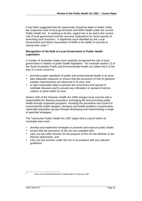It has been suggested that the opportunity should be taken to better clarify the respective roles of local government and NSW Health under the current Public Health Act. In seeking to do this, regard has to be had to the current role of local government and the resource implications for local councils of exercising such functions. A significant issue identified by the Local Government and Shires Association of NSW is the ability of councils to recoup their costs.<sup>22</sup>

#### *Recognition of the Role of Local Government in Public Health Legislation*

A number of Australian states have explicitly recognised the role of local government in relation to public health legislation. For example section 12 of the South Australian Public and Environmental Health Act states that it is the duty of a local council to:

- *promote proper standards of public and environmental health in its area;*
- *take adequate measures to ensure that the provisions of Part III (general sanitary requirements) are observed in its area; and*
- *to take reasonable steps to prevent the occurrence and spread of notifiable diseases and to prevent any infestation or spread of vermin, rodents or pests within its area.*

Section 29A of the Victorian Health Act 1958 charges local councils with a responsibility for disease prevention, prolonging life and promoting public health through organised programs, including the prevention and control of environmental health dangers, diseases and health problems of particularly vulnerable population groups through developing and implementing a range of specified strategies.

The Tasmanian Public Health Act 1997 states that a council within its municipal area must:

- *develop and implement strategies to promote and improve public health;*
- *ensure that the provisions of this Act are complied with;*
- *carry out any other function for the purpose of this Act the Minister or the Director determines; and*
- *carry out any function under this Act in accordance with any relevant guidelines.*

 $22$ 

Letter to the NSW Department of Health dated 14 February 1997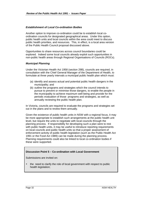#### *Establishment of Local Co-ordination Bodies*

Another option to improve co-ordination could be to establish local coordination councils for designated geographical areas. Under this option, public health units and local councils within the area could meet to discuss public health priorities, and resources. This, in effect, is a local area version of the Public Health Council proposal discussed above.

Opportunities to share resources across council boundaries could be explored. Indeed some local councils already exploit such opportunities in non-public health areas through Regional Organisations of Councils (ROCs).

#### *Municipal Planning*

Under the Victorian Health Act 1958 (section 29B), councils are required, in consultation with the Chief General Manager of the Department of Health, to formulate at three yearly intervals a municipal public health plan which must:

- (a) identify and assess actual and potential public health dangers in the municipality; and
- (b) outline the programs and strategies which the council intends to pursue to prevent or minimise those dangers, to enable the people in the municipality to achieve maximum well being and provide for the periodic evaluation of those programs and strategies, as well as annually reviewing the public health plan.

In Victoria, councils are required to evaluate the programs and strategies set out in the plans and to review them annually.

Given the existence of public health units in NSW with a regional focus, it may be more appropriate to establish such arrangements at the public health unit level, but require the units to negotiate with local councils through the planning process. If responsibility for developing such a plan were to rest with public health units, it may be useful to introduce reporting requirements on local councils and public health units so that a proper assessment of enforcement activity of public health legislation (such as the Public Health Act 1991 or the Food Act 1989) can be made during the planning process. Planning requirements could also be linked to local co-ordination bodies if these were supported.

#### **Discussion Point 5 – Co-ordination with Local Government**

Submissions are invited on:

• the need to clarify the role of local government with respect to public health legislation;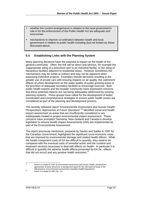- whether the current arrangements in relation to the local government's role in for the enforcement of the Public Health Act are adequate and appropriate
- mechanisms to improve co-ordination between health and local government in relation to public health including (but not limited to) those discussed above.

# **5.4 Establishing Links with the Planning System**

Many planning decisions have the potential to impact on the health of the general community. Often, the link will be direct and obvious, for example the inappropriate siting of a preschool next to an industrial facility, or the siting of hazardous facilities adjacent to residential areas. However sometimes the mechanisms may be subtle or indirect and may not be apparent when assessing individual projects. Examples include decisions resulting in the greater use of private cars with ensuing impacts on air quality, the catchment effects of urban development on the water quality of oyster growing areas or the provision of adequate recreation facilities to encourage exercise. Both public health experts and the broader community have expressed concerns that these potential impacts are not being adequately addressed by existing planning systems. These groups have called for the development of better coordinated and comprehensive strategies to ensure public health issues are considered as part of the planning and development process.

The recently released report "*Environmental Assessment and Human Health: Perspectives, Approaches & Future Directions*" *<sup>23</sup>* identified social and health impact assessment as areas that are insufficiently considered or are inadequately treated in project environmental impact assessment. These concerns have prompted Tasmania, New Zealand and Canada to develop legislation to ensure Health Impact Assessments (HIA) are implemented as part of the Environmental Assessment .

The report previously mentioned, prepared by Davies and Sadler in 1997 for the Canadian Government, highlighted the significant socio-economic costs that are imposed by environmental damage and related health effects. While the health component costs of EA are difficult to quantify, they need to be compared with the eventual costs of remedial action and the curative and treatment services necessary to deal with effects on health. In particular it is difficult to quantify the adverse health effects prevented by EA (ie. effects that did not occur) and any positive health outcomes. $24$ 

<sup>23</sup> Davis K & Sadler B 1997 *Environmental assessment and human health: perspectives, approaches & future directions: a background report for the international study of the effectiveness of environment assessment* Canadian Health Department

 $23$ 

<sup>&</sup>lt;sup>24</sup> Davis K & Sadler B 1997 Op. Cit.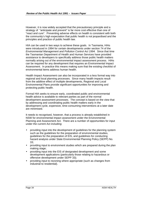However, it is now widely accepted that the precautionary principle and a strategy of "anticipate and prevent" is far more cost effective than one of "react and cure". Preventing adverse effects on health is consistent with both the community's high expectation that public health is not jeopardised and the principles and practice of public health law.

HIA can be used in two ways to achieve these goals. In Tasmania, HIAs were introduced in 1994 for certain developments under section 74 of the *Environmental Management and Pollution Control Act 1994.* Since that time the Tasmanian Department of Health and Human Services have provided assistance to developers to specifically address those public health matters normally arising out of the environmental impact assessment process. HIAs can be required for any development that requires an Environmental Impact Assessment. In practice this means making sure that the existing checklist of environmental items address human health.

Health Impact Assessment can also be incorporated in a less formal way into regional and local planning processes. Since many health impacts result from the additive effect of multiple developments, Regional and Local Environmental Plans provide significant opportunities for improving and protecting public health.

Formal HIA seeks to ensure early, coordinated public and environmental health advice is available to relevant parties as part of the normal development assessment processes. The concept is based on the view that by addressing and coordinating public health matters early in the development cycle, expensive, time-consuming interventions at a later date are minimised.

It needs to recognised, however, that a process is already established in NSW for environmental impact assessment under the Environmental Planning and Assessment Act. There are a number of opportunities for input under the current Act including:

- providing input into the development of guidelines for the planning system such as the guidelines for the preparation of environmental studies, guidelines for the preparation of EIS, and guidelines for conducting hazard analysis under State Environmental Planning Policy (SEPP) No. 33;
- providing input to environment studies which are prepared during the plan making stage:
- providing input into the EIS of designated development and some development applications (particularly those relating to hazardous or offensive development under SEPP 33);
- providing input to rezoning where appropriate (such as changes from industrial to residential).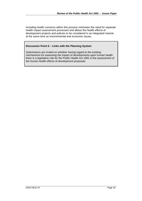Including health concerns within this process minimises the need for separate health impact assessment processes and allows the health effects of development projects and policies to be considered in an integrated manner at the same time as environmental and economic issues.

#### **Discussion Point 6 – Links with the Planning System**

Submissions are invited on whether having regard to the existing mechanisms for assessing the impact of developments upon human health there is a legislative role for the Public Health Act 1991 in the assessment of the human health effects of development proposals.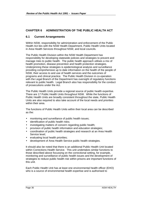# **CHAPTER 6 ADMINISTRATION OF THE PUBLIC HEALTH ACT**

## **6.1 Current Arrangements**

Within NSW, responsibility for administration and enforcement of the Public Health Act lies with the NSW Health Department, Public Health Units located in Area Health Services throughout NSW, and local councils.

The Public Health Division within the NSW Health Department has responsibility for developing statewide policies and strategies to prevent and manage risks to public health. The public health approach utilises a mix of health promotion, disease prevention and health protection strategies. Underpinning these strategies is epidemiological analysis and surveillance providing comprehensive up to date information on the health of the people of NSW, their access to and use of health services and the outcomes of programs and clinical practice. The Public Health Division in co-operation with the Legal Branch of the Department has oversight of regulatory functions relevant to public health. Legal Branch also has responsibility for the conduct of prosecutions under the Act.

The Public Health Units provide a regional source of public health expertise. There are 17 Public Health Units throughout NSW. While the functions of Public Health Units are broadly consistent throughout the state, Public Health Units are also required to also take account of the local needs and priorities within their area.

The functions of Public Health Units within their local area can be described as the:

- monitoring and surveillance of public health issues;
- identification of public health risks:
- investigating matters of concern regarding public health;
- provision of public health information and education strategies;
- coordination of public health strategies and research at an Area Health Service level;
- evaluating local health priorities;
- development of Area Health Service public health strategies.

It should also be noted that there is an additional Public Health Unit located within Corrections Health Service. This unit undertakes similar functions to those described above focussing on the correctional setting, for example, monitoring and surveillance of public health issues and the development of strategies to reduce public health risk within prisons are important functions of this unit.

Each Public Health Unit has at least one environmental health officer (EHO) who is a source of environmental health expertise and is authorised to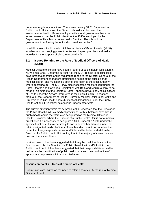undertake regulatory functions. There are currently 31 EHOs located in Public Health Units across the State. It should also be noted that environmental health officers employed within local government have the same powers under the Public Health Act as EHOs employed by the Department of Health or an Area Health Service. The role of local government in enforcing the Act is discussed in chapter 5.

In addition, each Public Health Unit has a Medical Officer of Health (MOH) who has a broad ranging power to enter and inspect premises and make inquiries for the purpose of giving effect to the Act.

## **6.2 Issues Relating to the Role of Medical Officers of Health (MOH)**

Medical Officers of Health have been a feature of public health legislation in NSW since 1896. Under the current Act, the MOH relates to specific local government authorities and is required to report to the Director General of the Health Department on matters affecting the health of the public in that medical district (and must send a copy of the report to the local authority where appropriate). The MOH may also inspect the registers kept under the Births, Deaths and Marriages Registration Act 1995 and require a copy to be made of an extract of the registers. Other specific powers of Medical Officer of Health under the Act are interpreted in the Public Health Delegations Manual of the Department of Health. Currently Medical Officers of Health and Directors of Public Health share 42 identical delegations under the Public Health Act and 17 identical delegations under 6 other Acts.

The current situation within many Area Health Services is that the Director of the Public Health Unit is a medical practitioner with substantial expertise in public health and is therefore also designated as the Medical Officer of Health. However, where the Director of a Public Health Unit is not a medical practitioner it is necessary to designate a MOH under the Act to undertake specific functions. It may be timely to consider whether there is a need to retain designated medical officers of health under the Act and whether the current statutory responsibilities of a MOH could be better undertaken by a Director of a Public Health Unit (noting that in the majority of cases they are one and the same officer).

In either case, it has been suggested that it may be useful to describe the function and role of a Director of a Public Health Unit or MOH within the Public Health Act. It has been suggested that their responsibilities could be defined as the identification of public health risks and the coordination of appropriate responses within a specified area.

#### **Discussion Point 7 – Medical Officers of Health**

Submissions are invited on the need to retain and/or clarify the role of Medical Officers of Health.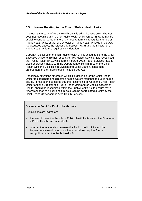# **6.3 Issues Relating to the Role of Public Health Units**

At present, the basis of Public Health Units is administrative only. The Act does not recognise any role for Public Health Units across NSW. It may be useful to consider whether there is a need to formally recognise the role of Public Health Units or that of a Director of Public Health Unit within the Act. As discussed above, the relationship between MOH and the Director of a Public Health Unit also requires consideration.

Currently, the Director of each Public Health Unit is accountable to the Chief Executive Officer of his/her respective Area Health Service. It is recognised that Public Health Units, while formally part of Area Health Services have a close operational nexus with the Department of Health through the Chief Health Officer, Public Health Division and Legal Branch, concerning enforcement of the Public Health Act and Food Act.

Periodically situations emerge in which it is desirable for the Chief Health Officer to coordinate and direct the health system response to public health issues. It has been suggested that the relationship between the Chief Health Officer and the Director of a Public Health Unit (and/or Medical Officers of Health) should be recognised within the Public Health Act to ensure that a timely response to a public health issue can be coordinated directly by the Chief Health Officer across Area Health Services.

## **Discussion Point 8 – Public Health Units**

Submissions are invited on:

- the need to describe the role of Public Health Units and/or the Director of a Public Health Unit under the Act;
- whether the relationship between the Public Health Units and the Department in relation to public health activities requires formal recognition under the Public Health Act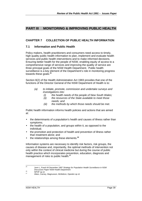# **PART III MONITORING & IMPROVING PUBLIC HEALTH**

# **CHAPTER 7 COLLECTION OF PUBLIC HEALTH INFORMATION**

#### **7.1 Information and Public Health**

Policy makers, health practitioners and consumers need access to timely, high quality public health information to plan, implement and evaluate health services and public health interventions and to make informed decisions. Ensuring better health for the people of NSW, enabling equity of access to a comprehensive range of services and improving the quality of service are three principal goals of the NSW Health Department. Public health surveillance is a key element of the Department's role in monitoring progress towards these goals.**<sup>25</sup>**

Section 8(2) of the Health Administration Act 1983 provides that one of the functions of the Director General of the NSW Department of Health is to:

- *(a) to initiate, promote, commission and undertake surveys and investigations into:*
	- *(i) the health needs of the people of New South Wales;*
	- *(ii) the resources of the State available to meet those needs; and*
	- *(iii) the methods by which those needs should be met.*

Public health information informs health policies and actions that are aimed at:

- the determinants of a population's health and causes of illness rather than symptoms;
- the health of a population, and groups within it, as opposed to the individual;
- the promotion and protection of health and prevention of illness rather than treatment alone; and
- the relationships among these elements.**<sup>26</sup>**

Information systems are necessary to identify risk factors, risk groups, the causes of disease and, importantly, the optimal methods of intervention not only within the context of clinical medicine but during the course of public health practice which incorporates prevention, education, diagnosis and management of risks to public health.**<sup>27</sup>**

 $25$ <sup>25</sup> Jorm L, Puech M December 1997 *Strategy for Population Health Surveillance in NSW Discussion Paper* NSW Health Department

 $^{26}$  NPHP op cit

Allars, Carney, Magnusson, McMahon, Opeskin op cit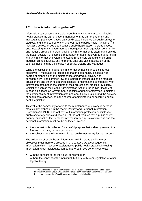# **7.2 How is information gathered?**

Information can become available through many different aspects of public health practice: as part of patient management, as part of gathering and investigating population based data on disease incidence (through surveys or studies), and in the course of carrying out routine public health functions.**<sup>28</sup>** It must also be recognised that because public health action is broad based, encompassing many government and non government agencies, community and industry groups, important public health information is often found outside the health sector. For example important information relevant to public health is found in information systems related to road safety campaigns, coronial inquiries, crime statistics, environmental data and vital statistics on births such as those held by the Registry of Births, Deaths and Marriages.

While the collection of public health information has clear public interest objectives, it must also be recognised that the community places a high degree of emphasis on the maintenance of individual privacy and confidentiality. The common law and legislation impose duties on medical practitioners and other health professionals to maintain the confidentiality of information obtained in the course of their professional practice. Similarly, legislation such as the Health Administration Act and the Public Health Act impose obligations on Government agencies and their employees to maintain the confidentiality of information obtained about individuals during the delivery of health care services, or in the course of administering or executing public health legislation.

This value the community affords to the maintenance of privacy is perhaps most clearly embodied in the recent Privacy and Personal Information Protection Act 1998. The Act sets out information protection principles for public sector agencies and section 8 of the Act requires that a public sector agency must not collect personal information by any unlawful means and that personal information must not be collected unless :

- the information is collected for a lawful purpose that is directly related to a function or activity of the agency, and
- the collection of the information is reasonably necessary for that purpose.

The collection of public health information with its broad public interest objectives must therefore proceed in this context. As a consequence, information which may be of assistance to public health practice, including information about individuals, can be gathered in two general contexts:

- with the consent of the individual concerned; or
- without the consent of the individual, but only with clear legislative or other legal authority.

<sup>28</sup> <sup>28</sup> Australian Institute of Health and Welfare under the auspices of the National Public Health Information Working Group 1998 *National Public Health Information Development Plan* Draft Discussion paper at Http://hna.ffh.vic.gov.au/nphp/nphidp/index.htm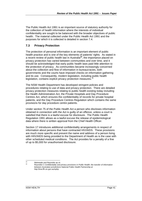The Public Health Act 1991 is an important source of statutory authority for the collection of health information where the interests of individual confidentiality are sought to be balanced with the broader objectives of public health. The material collected under the Public Health Act 1991 and the purposes for which it is collected is detailed in section 7.4.

# **7.3 Privacy Protection**

The protection of personal information is an important element of public health practice and is one of the key elements of patients' rights. As stated in a recent review of public health law in Australia**<sup>29</sup>**, the importance placed on privacy protection has varied between communities and over time, and it should be acknowledged that early public health laws paid little attention to the protection of privacy. As communities became increasingly concerned about the collection and flow of information in bureaucracies, both governments and the courts have imposed checks on information gathering and its use. Consequently, modern legislation, including public health legislation, contains explicit privacy protection measures.<sup>3</sup>

The NSW Health Department has developed stringent policies and procedures relating to use of data and privacy protection. There are detailed privacy protection measures relating to public health existing today including the Health Administration Act, the Private Hospitals and Day Procedure Centres Act, which ensures the confidentiality of records for private hospital patients, and the Day Procedure Centres Regulation which contains the same provisions for day procedure centre patients.

Under section 75 of the Public Health Act a person who discloses information obtained in connection with the Act is guilty of an offence, unless a court is satisfied that there is a lawful excuse for disclosure. The Public Health Regulation 1991 allows as a lawful excuse the release of epidemiological data where there is written approval from the Chief Health Officer.

Section 17 introduces additional confidentiality arrangements in respect of information about persons that have contracted HIV/AIDS. These provisions are much more specific and prevent the name and address of a person living with HIIV/AIDS being provided to the Department of Health as is the case with other scheduled medical conditions. The Act provides for a penalty of a fine of up to \$5,000 for unauthorised disclosure.

 $29$  $^{29}$  Bidmeade and Reynolds op cit

<sup>30</sup> Reynolds C *Confidentiality and privacy provisions in Public Health: the transfer of information between Australian jurisdictions* National Public Health Partnership *at* http:\\hna.ffh.vic.gov.au/nphp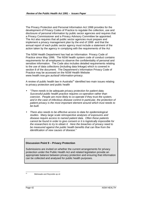The Privacy Protection and Personal Information Act 1998 provides for the development of Privacy Codes of Practice to regulate the collection, use and disclosure of personal information by public sector agencies and requires that a Privacy Commissioner and a Privacy Advisory Committee be appointed. The Act also requires that all public sector agencies must prepare and implement a privacy management plan by the end of 1999 and that the annual report of each public sector agency must include a statement of the action taken by the agency in complying with the requirements of the Act

The NSW Health Department has had an Information Privacy Code of Practice since May 1996. The NSW health system code of conduct contains requirements for all employees to observe the confidentiality of personal and sensitive information. The Code also includes detailed requirements relating to the use of data collections (including data linkage) which is covered in section 8 of the document. The Department's Information Privacy Code of Practice may be accessed on the NSW Health Website *www.health.nsw.gov.au/iasd/ information-privacy*.

A review of public health law in Australia<sup>31</sup> identified two main issues relating to privacy protection and public health

- "*There needs to be adequate privacy protection for patient data. Successful public health practice requires co-operation rather than coercion. People are more likely to co-operate if they trust the system, and in the case of infectious disease control in particular, the protection of patient privacy is the most important element around which trust needs to be built.*
- *There also needs to be effective access to data for epidemiological studies. Many large scale retrospective analyses of exposures and disease require access to named patient data. Often these patients cannot be found in order to give consent or it is logistically impossible for the researchers to try to obtain it. Here the breaches of privacy need to be measured against the public health benefits that can flow from the identification of new causes of disease.*"

#### **Discussion Point 9 – Privacy Protection**

Submissions are invited on whether the current arrangements for privacy protection under the Public Health Act and related legislation provide an appropriate balance between privacy protection and ensuring that information can be collected and analysed for public health purposes.

 $21$ 

Bidmeade and Reynolds op cit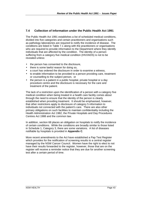# **7.4 Collection of Information under the Public Health Act 1991**

The Public Health Act 1991 establishes a list of scheduled medical conditions, divided into five categories and certain practitioners and organisations such as pathology laboratories are required to notify the incidence of disease. The conditions are listed in Table 7.1 along with the practitioners or organisations who are required to provide information to the Department where they identify individuals that are affected by the condition. The identity of a person suffering from a category five medical condition (HIV/AIDS) is not to be revealed unless:

- the person has consented to the disclosure.
- there is some lawful reason for doing so,
- a court has ordered the disclosure in order to examine a witness,
- to enable information to be provided to a person providing care, treatment or counselling to the subject person, or
- the person is a patient in a public hospital, private hospital or a day procedure centre and the disclosure is necessary for the care and treatment of the patient.

The lack of a restriction upon the identification of a person with a category five medical condition when being treated in a health care facility comes about through the need to ensure that the identity of the person is clearly established when providing treatment. It should be emphasised, however, that other restrictions apply to disclosure of category 5 information to individuals not connected with the patient's care. There are also other primary obligations on such facilities to maintain confidentiality including the Health Administration Act 1982, the Private Hospitals and Day Procedures Centres Act 1988 and the common law.

In addition, section 68 places an obligation on hospitals to notify the incidence of certain conditions. While the conditions are broadly similar to those listed in Schedule 1, Category 3, there are some variations. A list of diseases notifiable by hospitals is provided in **Appendix C**.

More recent amendments to the Act have established a Pap Test Register which provides for the notification of screening results to a central register managed by the NSW Cancer Council. Women have the right to elect to not have their results forwarded to the register, however, those that are on the register will receive a reminder notice that they are due for another screening test after a certain period of time.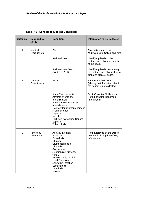| <b>Category</b> | <b>Required to</b><br><b>Notify</b> | <b>Condition</b>                                                                                                                                                                                                                                                           | <b>Information to Be Collected</b>                                                            |
|-----------------|-------------------------------------|----------------------------------------------------------------------------------------------------------------------------------------------------------------------------------------------------------------------------------------------------------------------------|-----------------------------------------------------------------------------------------------|
| 1               | Medical<br>Practitioners            | <b>Birth</b>                                                                                                                                                                                                                                                               | The particulars for the<br>Midwives Data Collection Form                                      |
|                 |                                     | <b>Perinatal Death</b>                                                                                                                                                                                                                                                     | Identifying details of the<br>mother and baby, and details<br>of the death.                   |
|                 |                                     | Sudden Infant Death<br>Syndrome (SIDS)                                                                                                                                                                                                                                     | Identifying details concerning<br>the mother and baby, including<br>birth and place of death. |
| 2               | Medical<br><b>Practitioners</b>     | <b>AIDS</b>                                                                                                                                                                                                                                                                | AIDS Notification form<br>(Identifying information about<br>the patient is not collected)     |
|                 |                                     | <b>Acute Viral Hepatitis</b><br>Adverse events after<br>Immunisation<br>Food borne illness in >2<br>related cases<br>Gastroenteritis among persons<br>in an institution<br>Leprosy<br><b>Measles</b><br>Pertussis (Whooping Cough)<br><b>Syphilis</b><br>Tuberculosis      | Doctor/Hospital Notification<br>Form (including identifying<br>information)                   |
| 3               | Pathology<br>Laboratories           | Aboviral infection<br><b>Botulism</b><br><b>Brucellosis</b><br>Cholera<br>Cryptosporidiosis<br>Diptheria<br>Gonorrhoea<br>Haemophilus influenza<br>type B<br>Hepatitis A, B, C, D & E<br>Lead Poisoning<br>Legionella Infection<br>Leptospirosis<br>Listeriosis<br>Malaria | Form approved by the Director<br>General including identifying<br>information                 |

## **Table 7.1 - Scheduled Medical Conditions**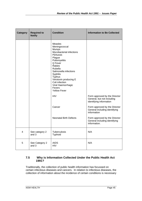| <b>Category</b> | <b>Required to</b><br><b>Notify</b> | <b>Condition</b>                                                                                                                                                                                                                                                                                            | <b>Information to Be Collected</b>                                                     |
|-----------------|-------------------------------------|-------------------------------------------------------------------------------------------------------------------------------------------------------------------------------------------------------------------------------------------------------------------------------------------------------------|----------------------------------------------------------------------------------------|
|                 |                                     | <b>Measles</b><br>Meningococcal<br>Mumps<br>Mycobacterial infections<br>Pertussis<br>Plague<br>Poliomyelitis<br>Q Fever<br>Rabies<br><b>Rubella</b><br>Salmonella infections<br>Syphilis<br><b>Typhus</b><br>Verotoxin producing E<br>Coli infection<br>Viral Haemorrhagic<br>Fevers<br><b>Yellow Fever</b> |                                                                                        |
|                 |                                     | <b>HIV</b>                                                                                                                                                                                                                                                                                                  | Form approved by the Director<br>General, but not including<br>identifying information |
|                 |                                     | Cancer                                                                                                                                                                                                                                                                                                      | Form approved by the Director<br>General including identifying<br>information          |
|                 |                                     | <b>Neonatal Birth Defects</b>                                                                                                                                                                                                                                                                               | Form approved by the Director<br>General including identifying<br>information.         |
| 4               | See category 2<br>and 3             | <b>Tuberculosis</b><br>Typhoid                                                                                                                                                                                                                                                                              | N/A                                                                                    |
| 5               | See Category 2<br>and 3             | <b>AIDS</b><br><b>HIV</b>                                                                                                                                                                                                                                                                                   | N/A                                                                                    |

## **7.5 Why is Information Collected Under the Public Health Act 1991?**

Traditionally, the collection of public health information has focussed on certain infectious diseases and cancers. In relation to infectious diseases, the collection of information about the incidence of certain conditions is necessary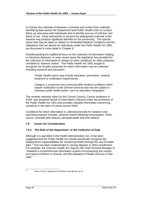to monitor the outbreak of diseases or prevent and control their outbreak. Identifying data assists the Department and Public Health Units to conduct follow up interviews with individuals and to identify sources of infection and those at risk. Early intervention to prevent the widespread outbreak of the disease may produce significant benefits for the community. The specific action that may be taken in relation to Scheduled Medical Conditions and the obligations that are placed on individuals under the Public Health Act 1991 are discussed in more detail in Chapter 8.

Notwithstanding the traditional focus on the collection of information relating to infectious diseases, in more recent years the legislation has provided for the collection of information in relation to other conditions for other purposes, unrelated to 'disease control'. The Public Health Act 1991 sought to recognise the broader purposes for which information may be collected including research and education:

*"Public Health action may include education, prevention, medical treatment or notification requirements…*

*Category 1 comprises non-communicable medical conditions which require notification to the Director-General and may be subject to voluntary public health action, such as education campaigns."*

The recently released report by the Cancer Council, *Cancer Incidence in NSW*, was prepared based on information collected under the provisions of the Public Health Act 1991 and provides valuable information concerning variations in the rates of cancer across NSW.

Conditions for which information is collected primarily for research and planning purposes includes; adverse events following immunisation, SIDS, cancer, neonatal birth defects, perinatal death and birth defects.

## **7.6 Issues for Consideration**

#### **7.6.1** *The Role of the Department in the Collection of Data*

Although it is specified in the Health Administration Act, it has been suggested that the Public Health Act should specifically recognise the Department's responsibilities for monitoring health through the use of health data.<sup>32</sup> This has been implemented to varying degrees in other jurisdictions. For example, the Victorian Health Act requires the Chief General Manager to *"establish a comprehensive information system encompassing the causes and nature of illness in Victoria, and the utilisation of health services in that state."*

 $22$ 

Allars, Carney, Magnusson, McMahon and Opeskin op cit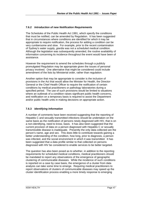#### **7.6.2** *Introduction of new Notification Requirements*

The Schedules of the Public Health Act 1991, which specify the conditions that must be notified, can be amended by Regulation. It has been suggested that in circumstances where conditions are identified for which it may be appropriate to require notification, the process for adding a condition can be very cumbersome and slow. For example, prior to the recent contamination of Sydney's water supply, *giardia* was not a scheduled medical condition. Although the legislation was subsequently amended, the routine availability of information concerning its incidence throughout the event would have been of assistance.

However the requirement to amend the schedules through a publicly promulgated Regulation may be appropriate given the issues of personal privacy involved. One alternative that might be considered could include amendment of the lists by Ministerial order, rather than regulation.

Another option that may be appropriate to consider is the inclusion of provisions in the Act that would allow the Minister for Health, the Director-General or the Chief Health Officer to require the notification of certain conditions by medical practitioners or pathology laboratories during a specified period. The use of such provisions would be limited to situations where an outbreak of a condition raises significant public health concerns, and notification on a temporary basis is required to assist the Department and/or public health units in making decisions on appropriate action.

## **7.6.3** *Identifying Information*

A number of comments have been received suggesting that the reporting of Hepatitis C and sexually transmitted infections should be undertaken on the same basis as the notification of persons newly diagnosed with HIV, that is on a non-identifying, need to know, basis. It has also been suggested that the current provision of data on a person diagnosed with Hepatitis C or sexually transmissible disease is inadequate. Presently the only data collected are the person's name, age and sex. This does little to contribute towards gaining a better understanding of the condition, how long, prior to diagnosis, a person was infected, and the social environment in which it was transmitted. It has been suggested that a data profile similar to that collected on persons diagnosed with HIV be considered to enable services to be better targeted.

The question has also been posed as to whether, in addition to the reporting requirements for scheduled medical conditions, medical practitioners should be mandated to report any observations of the emergence of geographic clustering of communicable diseases. While the incidence of such conditions is reported on a case by case basis, the emergence of a cluster from data analysis can take some time to emerge. Requiring medical practitioners to report observations of clusters of communicable diseases may speed up the cluster identification process enabling a more timely response to emerging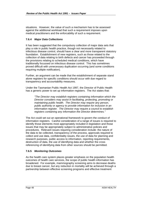situations. However, the value of such a mechanism has to be assessed against the additional workload that such a requirement imposes upon medical practitioners and the enforcability of such a requirement.

## **7.6.4** *Major Data Collections*

It has been suggested that the compulsory collection of major data sets that play a role in public health practice, though not necessarily related to infectious disease control, should have a clear and more transparent statutory foundation. Establishment of new registers, such as those related to the collection of data relating to birth defects and cancer has proceeded through the provisions relating to scheduled medical conditions, which have traditionally focussed on infectious disease control. This has sometimes proved difficult with unnecessary duplication occurring (and some conditions requiring multiple notification).

Further, an argument can be made that the establishment of separate stand alone registers for specific conditions should occur with due regard to transparency and accountability measures.

Under the Tasmanian Public Health Act 1997, the Director of Public Health has a generic power to set up information registers. The Act states that:

*"The Director may establish registers containing information which the Director considers may assist in facilitating, protecting, promoting or maintaining public health. The Director may require any person, public authority or agency to provide information for inclusion in an information register. The Director may require a council to establish registers containing any information the Director determines."*

The Act could set out an operational framework to govern the conduct of information registers. Careful consideration of a range of issues is required to identify those elements most appropriately included in legislation and those issues that may be appropriately subject to administrative policies and procedures. Relevant issues requiring consideration include: the nature of the data to be collected, transparency of the process, approvals required to collect and use data, confidentiality issues, the use of data for planning and research purposes, public access to information, reporting requirements, destruction of data, the use of identifying data and whether the cross referencing of identifying data from other sources should be permitted.

# **7.6.5** *Monitoring Outcomes*

As the health care system places greater emphasis on the population health outcomes of health care services, the scope of public health information has broadened. For example, mammography screening aims to decrease deaths due to breast cancer, but any reduction in mortality will be achieved through a partnership between effective screening programs and effective treatment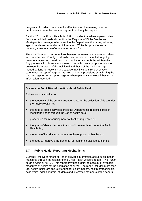programs. In order to evaluate the effectiveness of screening in terms of death rates, information concerning treatment may be required.

Section 20 of the Public Health Act 1991 provides that where a person dies from a scheduled medical condition the Registrar of Births Deaths and Marriages is to arrange to have sent to the Department the name, address, age of the deceased and other information. While this provides some material, it may not be effective in its current form.

The establishment of stronger links between screening and treatment raises important issues. Clearly individuals may not wish to have their ongoing treatment monitored, notwithstanding the important public health benefits. Any proposals in this area would need to establish an appropriate balance between the interests of the individual and those of the public at large. Indeed options for resolving this balance may include stronger privacy safeguards, an opt-off register (as provided for in provisions establishing the pap test register) or an opt on register where patients can elect if they want information recorded.

#### **Discussion Point 10 – Information about Public Health**

Submissions are invited on:

- the adequacy of the current arrangements for the collection of data under the Public Health Act;
- the need to specifically recognise the Department's responsibilities in monitoring health through the use of health data;
- procedures for introducing new notification requirements;
- the types of data collections that should be mandated under the Public Health Act;
- the issue of introducing a generic registers power within the Act;
- the need to improve arrangements for monitoring disease outcomes.

## **7.7 Public Health Reporting Mechanisms**

Currently, the Department of Health provides information about public health measures through the release of the Chief Health Officer's report "*The Health of the People of NSW*". This report provides a detailed account of available measures of health for the population of NSW. The report includes more than 200 health indicators and is intended for policy makers, health professionals, academics, administrators, students and interested members of the general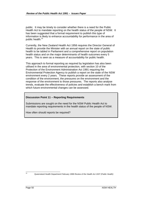public. It may be timely to consider whether there is a need for the Public Health Act to mandate reporting on the health status of the people of NSW. It has been suggested that a formal requirement to publish this type of information is likely to enhance accountability for performance in the area of public health.<sup>33</sup>

Currently, the New Zealand Health Act 1956 requires the Director General of Health to provide the Minister with an annual report on the state of public health to be tabled in Parliament and a comprehensive report on population health status and on the major determinants of health outcomes every 5 years. This is seen as a measure of accountability for public health.

This approach to formal reporting as required by legislation has also been utilised in the area of environmental protection, with section 10 of the Protection of the Environment Administration Act 1991 requiring the Environmental Protection Agency to publish a report on the state of the NSW environment every 2 years. These reports provide an assessment of the condition of the environment, the pressures on the environment and the response of the environment to those pressures. The reports also analyse trends, evaluate the effectiveness of policies and establish a bench mark from which future environmental changes can be assessed.

#### **Discussion Point 11 – Reporting Requirements**

Submissions are sought on the need for the NSW Public Health Act to mandate reporting requirements in the health status of the people of NSW.

How often should reports be required?

 $33$ 

<sup>33</sup> Queensland Health Department February 1998 *Review of the Health Act 1937 (Public Health)*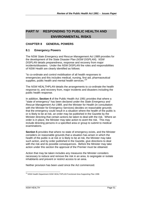# **PART IV RESPONDING TO PUBLIC HEALTH AND ENVIRONMENTAL RISKS**

# **CHAPTER 8 GENERAL POWERS**

## **8.1 Emergency Powers**

The NSW *State Emergency and Rescue Management Act 1989* provides for the development of the State Disaster Plan (*NSW DISPLAN*). *NSW DISPLAN* details preparedness, response and recovery from major incidents/disasters. Under the *NSW DISPLAN* the roles and responsibilities of NSW Health are clearly identified as follows:

"to co-ordinate and control mobilisation of all health responses to emergencies and this includes medical, nursing, first aid, pharmaceutical supplies, public health and mental health services."<sup>34</sup>

The *NSW HEALTHPLAN* details the arrangements to co-ordinate the health response to, and recovery from, major incidents and disasters including the public health response.

In addition, **Section 4** of the Public Health Act 1991 provides that where a "state of emergency" has been declared under the *State Emergency and Rescue Management Act 1989*, and the Minister for Health (in consultation with the Minister for Emergency Services) decides on reasonable grounds that the emergency could result in a situation where the health of the public is or is likely to be at risk, an order may be published in the Gazette by the Minister directing that certain actions be taken to deal with the risk. Where an order is in place, the Minister may take action to avert the risk. This may include directing persons in a specified area or group to submit to medical examinations.

**Section 5** provides that where no state of emergency exists, and the Minister considers on reasonable grounds that a situation has arisen in which the health of the public is at risk or is likely to be at risk, the Minister may take such action, and by order published in the Gazette, give directions to deal with the risk and its possible consequences. Before the Minister may take action under this section the approval of the Premier must be obtained.

Action that may be taken includes any measures the Minister considers necessary to reduce and remove the risk in an area, to segregate or isolate inhabitants and prevent or restrict access to an area.

Neither provision has been used since the Act commenced.

l <sup>34</sup> NSW Health Department *NSW HEALTHPLAN* Functional Area Supporting Plan 1996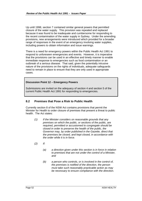Up until 1998, section 7 contained similar general powers that permitted closure of the water supply. This provision was repealed and replaced because it was found to be inadequate and cumbersome for responding to the recent contamination of the water supply in Sydney. Under the amending provisions, new arrangements were introduced which provided for a broader range of responses in the event of an emergency involving water supplies, including powers to obtain information and issue warnings.

There is a need for emergency powers within the Public Health Act 1991 to respond to unforeseen emergencies and events. However, it is imperative that the provisions can be used in an effective and timely manner to enable immediate response to emergencies such as food contamination or an outbreak of a serious disease. That said, given the potentially intrusive nature of the provisions on the rights of individuals, adequate safeguards need to remain in place to ensure that they are only used in appropriate cases.

#### **Discussion Point 12 – Emergency Powers**

Submissions are invited on the adequacy of section 4 and section 5 of the current Public Health Act 1991 for responding to emergencies.

## **8.2 Premises that Pose a Risk to Public Health**

Currently section 8 of the NSW Act contains provisions that permit the Minister for Health to order closure of premises that present a threat to public health. The Act states:

- *(1) If the Minister considers on reasonable grounds that any premises on which the public, or sections of the public, are required, permitted or accustomed to congregate should be closed in order to preserve the health of the public, the Governor may, by order published in the Gazette, direct that the premises be closed, and kept closed, in accordance with the order while it is in force.*
- *(2) If:*
	- *(a) a direction given under this section is in force in relation to premises that are not under the control of a Minister, and*
	- *(b) a person who controls, or is involved in the control of, the premises is notified of the direction, the person must take such reasonably practicable action as may be necessary to ensure compliance with the direction.*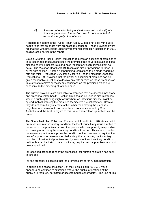*(3) A person who, after being notified under subsection (2) of a direction given under this section, fails to comply with that subsection is guilty of an offence.*

It should be noted that the Public Health Act 1991 does not deal with public health risks that emanate from premises (nuisances). These provisions were rationalised with provisions under environmental protection legislation in 1991 as discussed earlier in the report.

Clause 82 of the Public Health Regulation requires an occupier of premises to take reasonable measures to keep the premises free of vermin such as fleas, disease-carrying insects, rats and mice (except any such animals kept as pets). The Victorian Health Act 1958 contains similar provisions to those in NSW, with section 87 of the Act permitting regulations to be made regarding rats and mice. Regulation 36A of the Victorian Health (Infectious Diseases) Regulations 1990 provides that the owner or occupier of premises can be given reasonable directions to destroy any rats or mice on those premises or take steps to remove or rectify any conditions on the premises which are conducive to the breeding of rats and mice.

The current provisions are applicable to premises that are deemed insanitary and present a risk to health. Section 8 might also be used in circumstances where a public gathering might occur where an infectious disease might be spread, notwithstanding the premises themselves are satisfactory. However, they do not permit any alternate action other than closing the premises. It may therefore be useful to consider the approaches adopted by South Australia, and the ACT in regard to this issue where 'clean up' notices can be issued.

The South Australian Public and Environmental Health Act 1987 states that if premises are in an insanitary condition, the local council may issue a notice to the owner of the premises or any other person who is apparently responsible for causing or allowing the insanitary condition to occur. This notice specifies the necessary action to improve the condition of the premises or requires the owner/proprietor to cease a specified activity that is causing the insanitary condition. If residential premises are, by reason of their insanitary condition, unfit for human habitation, the council may require that the premises must not be occupied until:

(a) specified action to render the premises fit for human habitation has been taken; and

(b) the authority is satisfied that the premises are fit for human habitation.

In addition, the scope of Section 8 of the Public Health Act 1991 would appear to be confined to situations where "the public, or sections of the public, are required, permitted or accustomed to congregate". The use of this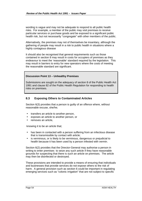wording is vague and may not be adequate to respond to all public health risks. For example, a member of the public may visit premises to receive particular services or purchase goods and be exposed to a significant public health risk, but not necessarily "congregate" with other members of the public.

Alternatively, the premises may not of themselves be insanitary, although the gathering of people may result in a risk to public health in situations where a highly contagious disease

It should also be recognised that general requirements such as those contained in section 8 may result in costs for occupiers of premises as they endeavour to meet the 'reasonable' standard required by the legislation. This may result in barriers to entry for new operators where the costs of meeting the reasonable standard are significant.

#### **Discussion Point 13 – Unhealthy Premises**

Submissions are sought on the adequacy of section 8 of the Public Health Act 1991 and clause 82 of the Public Health Regulation for responding to health risks on premises.

## **8.3 Exposing Others to Contaminated Articles**

Section 6(3) provides that a person is guilty of an offence where, without reasonable excuse, she/he;

- transfers an article to another person,
- exposes an article to another person, or
- removes an article.

knowing it to be an article that;

- has been in contacted with a person suffering from an infectious disease that is transmissible by contact with article;
- is verminous, or is likely to be verminous, dangerous or prejudicial to health because it has been used by a person infested with vermin.

Section 6(2) provides that the Director-General may authorise a person in writing to enter premises to seize any such article if they have reasonable grounds for suspecting that there is such an article on premises. The article may then be disinfected or destroyed.

These provisions are intended to provide a means of ensuring that individuals and businesses that provide services do not expose others to the risk of harm. A general provision such as section 6 could be important in regulating emerging services such as "colonic irrigation" that are not subject to specific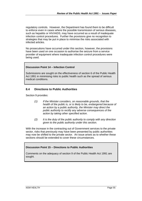regulatory controls. However, the Department has found them to be difficult to enforce even in cases where the possible transmission of serious diseases, such as hepatitis or HIV/AIDS, may have occurred as a result of inadequate infection control procedures. Further the provisions give no recognition to strategies that may be put in place to minimise the risks associated with infected articles.

No prosecutions have occurred under this section, however, the provisions have been used on one occasion to authorise the seizure from a service provider of equipment where inadequate infection control procedures were being used.

#### **Discussion Point 14 – Infection Control**

Submissions are sought on the effectiveness of section 6 of the Public Health Act 1991 in minimising risks to public health such as the spread of serious medical conditions.

#### **8.4 Directions to Public Authorities**

Section 9 provides:

- *(1) If the Minister considers, on reasonable grounds, that the health of the public is, or is likely to be, endangered because of an action by a public authority, the Minister may direct the public authority to rectify any adverse consequences of the action by taking other specified action.*
- *(2) It is the duty of the public authority to comply with any direction given to the public authority under this section.*

With the increase in the contracting out of Government services to the private sector, risks that previously may have been presented by public authorities may now be shifted to the private sector. An issue arises as to whether these sections should be extended to cover these circumstances.

#### **Discussion Point 15 – Directions to Public Authorities**

Comments on the adequacy of section 9 of the Public Health Act 1991 are sought.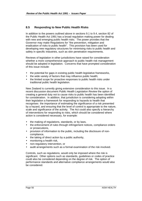# **8.5 Responding to New Public Health Risks**

In addition to the powers outlined above in sections 9.1 to 9.4, section 82 of the Public Health Act 1991 has a broad regulation making power for dealing with new and emerging public health risks. The power provides that the Governor may make Regulations for "the prevention, mitigation and eradication of risks to public health". This provision has been used for developing new regulatory structures for minimising risks to public health and safety in specific industries, such as skin penetration requirements.

Reviews of legislation in other jurisdictions have raised for consideration whether a more comprehensive approach to public health risk management should be adopted in legislation. Concerns that have prompted consideration of this issue include:

- the potential for gaps in existing public health legislative frameworks,
- the wide variety of factors that may influence public health;
- the limited scope for proactive responses to public health risks under traditional public health legislation.

New Zealand is currently giving extensive consideration to this issue. In a recent discussion document *Public Health Legislation Review* the option of creating a general duty not to cause risks to public health has been identified for consideration. In addition, that jurisdiction is considering adopting within their legislation a framework for responding to hazards to health that recognises the importance of estimating the significance of a risk presented by a hazard, and ensuring that the level of control is appropriate to the nature, scale and significance of the activity. The Act could also specify a hierarchy of interventions for responding to risks, which should be considered where action is considered necessary, for example:

- the making of regulations, standards, or by laws,
- the enforcement of rules through infringement notices, compliance orders or prosecutions,
- provision of information to the public, including the disclosure of noncompliance,
- the taking of direct action by a public authority,
- monitoring a health risk,
- non-regulatory intervention, or
- audit arrangements such as a formal examination of the risk involved.

Controls, such as regulations, would only be imposed where the risk is significant. Other options such as standards, guidelines or codes of practice could also be considered depending on the degree of risk. The option of performance standards and alternative compliance arrangements would also be considered.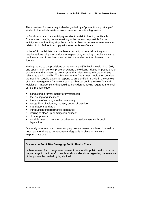The exercise of powers might also be guided by a "precautionary principle" similar to that which exists in environmental protection legislation.

In South Australia, if an activity gives rise to a risk to health, the Health Commission may, by notice in writing to the person responsible for the activity, require that they stop the activity or observe certain requirements in relation to it. Failure to comply with an order is an offence.

In the ACT, the Minister can declare an activity to be a risk activity and require various things to be done in respect of it, including compliance with a particular code of practice or accreditation standard or the obtaining of a licence.

Having regard to the provisions of the existing NSW Public Health Act 1991, one option might be to improve or expand the existing ' duties' imposed under sections 6 and 8 relating to premises and articles to create broader duties relating to public health. The Minister or the Department could then consider the need for specific action to respond to an identified risk within the context of a risk management framework such as that set out in the New Zealand legislation. Interventions that could be considered, having regard to the level of risk, might include:

- conducting a formal inquiry or investigation;
- the issuing of guidelines:
- the issue of warnings to the community;
- recognition of voluntary industry codes of practice:
- mandatory standards;
- introduction of performance standards;
- issuing of clean up or mitigation notices;
- closure powers;
- establishment of licensing or other accreditation systems through legislation.

Obviously wherever such broad ranging powers were considered it would be necessary for there to be adequate safeguards in place to minimise inappropriate use.

#### **Discussion Point 16 – Emerging Public Health Risks**

Is there a need for more general powers to respond to public health risks that may emerge in the future? If so, how should decisions regarding the exercise of the powers be guided by legislation?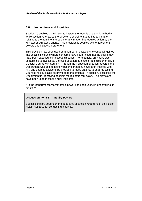## **8.6 Inspections and Inquiries**

Section 70 enables the Minister to inspect the records of a public authority while section 71 enables the Director-General to inquire into any matter relating to the health of the public or any matter that requires action by the Minister or Director-General. This provision is coupled with enforcement powers and inspection provisions.

This provision has been used on a number of occasions to conduct inquiries into specific incidents where concerns have been raised that the public may have been exposed to infectious diseases. For example, an inquiry was established to investigate the case of patient to patient transmission of HIV in a doctor's surgery in Sydney. Through the inspection of patient records, the Department was able to identify patients that may have been infected with HIV and enabled advice to be provided to these patients to undergo testing. Counselling could also be provided to the patients. In addition, it assisted the Department in identifying possible modes of transmission. The provisions have been used in other similar incidents.

It is the Department's view that this power has been useful in undertaking its functions.

#### **Discussion Point 17 – Inquiry Powers**

Submissions are sought on the adequacy of section 70 and 71 of the Public Health Act 1991 for conducting inquiries.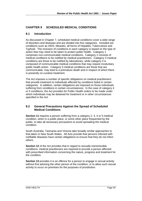# **CHAPTER 9 SCHEDULED MEDICAL CONDITIONS**

## **9.1 Introduction**

As discussed in Chapter 7, scheduled medical conditions cover a wide range of disorders and diseases and are divided into five categories. Included are conditions such as AIDS, Measles, all forms of Hepatitis, Tuberculosis and Typhoid. The inclusion of conditions in each category is based on the type of action that may need to be taken to protect public health. Category 1 comprises non-communicable medical conditions. Category 2 consists of medical conditions to be notified by medical practitioners. Category 3 medical conditions are those to be notified by laboratories, while category 4 is composed of communicable medical conditions that may require involuntary public health action. Category 5 medical conditions are those that are communicable, may lead to a premature death and in respect of which there is presently no curative treatment.

The Act imposes a number of specific obligations on medical practitioners that provide treatment to individuals affected by conditions listed in certain categories. In addition, certain obligations are imposed on those individuals suffering from conditions in certain circumstances. In the case of category 4 or 5 conditions, the Act provides for Public Health orders to be made under which individuals may be detained for treatment or in other circumstances specified in the Act.

## **9.2 General Precautions Against the Spread of Scheduled Medical Conditions**

**Section 11** requires a person suffering from a category 2, 3, 4 or 5 medical condition, when in a public place, or some other place frequented by the public, to take all necessary precautions to avoid spreading the medical condition.

South Australia, Tasmania and Victoria take broadly similar approaches to that taken in New South Wales. All Acts provide that persons infected with notifiable diseases have certain obligations to ensure that they do not infect others.

**Section 12** of the Act provides that in regard to sexually transmissible conditions, medical practitioners are required to provide a person affected with prescribed information concerning the nature, progress and treatment for the condition.

**Section 13** provides it is an offence for a person to engage in sexual activity without first advising the other person of the condition, or to allow such sexual activity to occur on premises for the purposes of prostitution.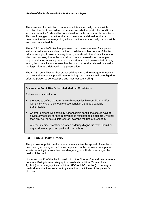The absence of a definition of what constitutes a sexually transmissible condition has led to considerable debate over whether particular conditions, such as Hepatitis C, should be considered sexually transmissible conditions. This would suggest that either the term needs to be defined, or that a determination be made regarding which conditions are sexually transmissible and listed in a schedule.

The AIDS Council of NSW has proposed that the requirement for a person with a sexually transmissible condition to advise another person of this fact prior to engaging in sexual activity is too generalised. The Council is of the view that oral sex, due to the low risk factors and sexual intercourse per vagina and anus involving the use of a condom should be excluded. In any event, the Council is of the view that the use of a condom should be cited in the legislation as a defence in any prosecution.

The AIDS Council has further proposed that in regard to category 5 medical conditions that medical practitioners ordering such tests should be obliged to offer the person to be tested pre and post test counselling.

#### **Discussion Point 18 – Scheduled Medical Conditions**

Submissions are invited on:

- the need to define the term "sexually transmissible condition" and/or identify by way of a schedule those conditions that are sexually transmissible;
- whether persons with sexually transmissible conditions should have to advise any sexual partner in advance is restricted to sexual activity other than oral sex or sexual intercourse involving the use of a condom;
- whether medical practitioners when ordering diagnostic tests should be required to offer pre and post test counselling;

## **9.3 Public Health Orders**

The purpose of public health orders is to minimise the spread of infectious diseases by ensuring controls may be placed on the behaviour of a person who is behaving in a way that is endangering, or is likely to endanger the health of the public.

Under section 22 of the Public Health Act, the Director-General can require a person suffering from a category four medical condition (Tuberculosis or Typhoid), or a category five condition (AIDS or HIV infection) to undergo a medical examination carried out by a medical practitioner of the person's choosing.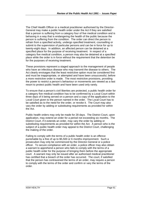The Chief Health Officer or a medical practitioner authorised by the Director-General may make a public health order under the Act if they are satisfied that a person is suffering from a category four of five medical condition and is behaving in a way that is endangering the health of the public because the person is suffering from the condition. The order can direct the person to refrain from a specified activity, undergo specified treatment, counselling or submit to the supervision of particular persons and can be in force for up to twenty-eight days. In addition, an affected person can be detained at a specified place for the purpose of receiving treatment. In respect of a category five medical condition, a person may also be detained at a specified place while the order is in force without the requirement that the detention be for the purposes of receiving treatment.

These provisions represent a staged approach to the management of people who have an infectious disease who may transmit the disease to others. The Act clearly envisages that the least restrictive option must be considered first and must be inappropriate, or attempted and have been unsuccessful, before a more restrictive order is made. The most restrictive provisions, providing the power to restrict a person's behaviour or movements are viewed as a last resort to protect public health and have been used only rarely.

To ensure that a person's civil liberties are protected, a public health order for a category five medical condition has to be confirmed by a Local Court within three days of it being served on a person and a copy of the application to the Local Court given to the person named in the order. The Local Court has to be satisfied as to the need for the order, or revoke it. The Court may also vary the order by adding or substituting requirements as provided for within the Act.

Public health orders may only be made for 28 days. The District Court, upon application, may extend an order for a period not exceeding six months. The District Court, if it extends an order, may vary the order by adding or substituting requirements as provided for within the Act. A person who is the subject of a public health order may appeal to the District Court, challenging the making of the order.

Failing to comply with the terms of a public health order is an offence punishable by a fine of up to \$5,500 or 6 months imprisonment. Such a prosecution may only be commenced by the Director-General or a police officer. To secure compliance with an order, a police officer may also obtain a warrant to apprehend a person who fails to comply with the terms of a public health order for the purpose of bringing them before the appropriate court. A warrant may only be issued after an authorised medical practitioner has certified that a breach of the order has occurred. The court, if satisfied that the person has contravened the terms of an order, may require a person to comply with the terms of the order and confirm or vary the terms of the order.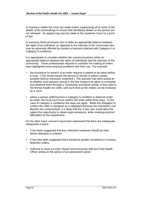In hearing a matter the court can make orders suppressing all or some of the details of the proceedings to ensure that identifying details on the person are not released. An appeal may also be made to the Supreme Court on a point of law.

In summary these provisions aim to strike an appropriate balance between the rights of an individual, as opposed to the interests of the community who may be adversely affected by conduct of persons infected with Category 4 or Category 5 conditions.

It is appropriate to consider whether the current provisions strike an appropriate balance between the rights of individuals and the interests of the community. Those professionals required to consider the making of orders have highlighted some practical problems with their use. For example:

- the procedure for breach of an order requires a patient to be taken before a court. (This would require the person to remain in police custody possibly without necessary treatment.) The question has been posed as to whether such persons should in the first instance be taken to a hospital and detained there through a 'scheduling' procedure similar to that used in the Mental Health Act 1990, until such time as the matter can be reviewed by a court.
- where a person suffering from a Category 5 condition is detained under an order, the local court must confirm the order within three days. In the case of Category 4 conditions this does not apply. While this obligation to confirm the order is designed as a safeguard because the individual's civil liberties are compromised, it is likely that the '3 day rule' would deny the patient the opportunity to obtain legal assistance, while creating practical difficulties for the Department.

On the other hand, concerns have been expressed that there are inadequate safeguards in place.

- It has been suggested that less restrictive measures should be tried before detention is ordered.
- It has also been suggested there should be greater consistency in issuing detention orders.
- Authority to issue an order should rest exclusively with the Chief Health Officer acting on the advice of an assessment panel.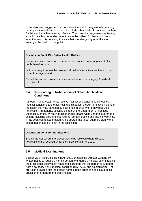It has also been suggested that consideration should be given to broadening the application of these provisions to include other medical conditions such as Syphilis and viral haemorrhagic fevers. The current arrangements for issuing a public health order under the Act cannot be utilised for these conditions even if a person is behaving in a way that is endangering, or is likely to endanger the health of the public.

#### **Discussion Point 19 – Public Health Orders**

Submissions are invited on the effectiveness of current arrangements for public health orders.

Is it necessary to retain the provisions? What alternatives are there to the current arrangements?

Should the current provisions be extended to include category 3 medical conditions?

#### **9.4 Responding to Notifications of Scheduled Medical Conditions**

Although Public Health Units receive notifications concerning scheduled medical conditions and other notifiable diseases, the Act is relatively silent on the action that may be taken by public health units where they receive a notification. In general, action is guided by the Department's Infectious Diseases Manual. While in practice Public Health Units undertake a range of actions including providing counselling, contact tracing and issuing warnings, it has been suggested that it may be appropriate to set out more clearly the action that should be taken in the legislation.

#### **Discussion Point 20 - Notifications**

Should the Act set out the procedures to be followed where disease notifications are received under the Public Health Act 1991?

#### **9.5 Medical Examinations**

Section 22 of the Public Health Act 1991 enables the Director-General by written notice to require a named person to undergo a medical examination if the practitioner believes on reasonable grounds that the person is suffering from a category 4 or 5 medical condition (HIV, AIDS and tuberculosis). The provision provides that the person named in the order can select a medical practitioner to perform the examination.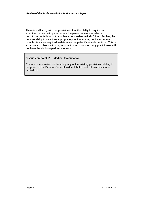There is a difficulty with the provision in that the ability to require an examination can be impeded where the person refuses to select a practitioner, or fails to do this within a reasonable period of time. Further, the persons ability to select an appropriate practitioner may be limited where complex tests are required to determine the patient's actual condition. This is a particular problem with drug resistant tuberculosis as many practitioners will not have the ability to perform the tests.

#### **Discussion Point 21 – Medical Examination**

Comments are invited on the adequacy of the existing provisions relating to the power of the Director-General to direct that a medical examination be carried out.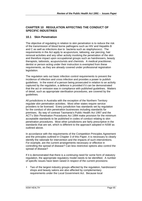## **CHAPTER 10 REGULATION AFFECTING THE CONDUCT OF SPECIFIC INDUSTRIES**

## **10.1 Skin Penetration**

The objective of regulating in relation to skin penetration is to reduce the risk of the transmission of blood borne pathogens such as HIV and Hepatitis B and C as well as infections due to bacteria such as staphylococci. The requirements in the Act apply to acupuncture, tattooing, ear piercing, hair removal activities and any other activity involving the penetration of the skin and therefore impact upon occupational groups such as hairdressers, beauty therapists, tattooists, acupuncturists and chemists. A medical practitioner, dentist or person acting under their instruction is exempted from these requirements, as they are already covered under professional registration legislation.

The regulation sets out basic infection control requirements to prevent the incidence of infection and cross infection and provides a power to publish guidelines. In the event of a person being prosecuted in relation to an activity captured by the regulation, a defence is provided if it can be demonstrated that the act or omission was in compliance with published guidelines. Matters of detail, such as appropriate sterilisation procedures, are covered by the guidelines.

All jurisdictions in Australia with the exception of the Northern Territory regulate skin penetration activities. Most other states require service providers to be licensed. Every jurisdiction has standards set by regulation for the conduct of skin penetration businesses including standards for premises. By way of contrast Tasmania's Public Health Act 1997 and the ACT's Skin Penetration Procedures Act 1994 make provision for the minimum acceptable standards to be published in codes of conduct relating to skin penetration procedures. Most other jurisdictions are fairly prescriptive in the standards that are set, which is different to the approach adopted in NSW as outlined above.

In accordance with the requirements of the Competition Principles Agreement and the principles outlined in Chapter 3 of this Paper, it is necessary to clearly identify the rationale for intervention and the impacts of such interventions. For example, are the current arrangements necessary or effective in controlling the spread of disease? Can less restrictive options also control the spread of disease?

If it is demonstrated that there is a continuing need for some form of statutory regulation, the appropriate regulatory model needs to be identified. A number of specific issues have been raised in respect of the current provisions:

• Two of the largest industry groups affected by the regulation, hairdressers' shops and beauty salons are also affected by complementary requirements under the Local Government Act. Because local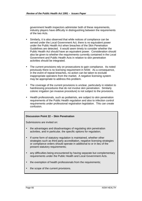government health inspectors administer both of these requirements, industry players have difficulty in distinguishing between the requirements of the two Acts.

- Similarly, it is also observed that while notices of compliance can be served under the Local Government Act, there is no equivalent power under the Public Health Act when breaches of the Skin Penetration Guidelines are detected. It would seem timely to consider whether the Public Health Act should have an equivalent power. Consideration should also be given to whether the requirements currently contained in the Local Government and Public Health Acts in relation to skin penetration activities should be integrated.
- The current provisions rely on prosecutions to gain compliance. As noted previously there is no licensing requirement in NSW. As a consequence, in the event of repeat breaches, no action can be taken to exclude inappropriate operators from the market. A negative licensing system may be appropriate to address this problem.
- The coverage of the current provisions is unclear, particularly in relation to hairdressing procedures that do not involve skin penetration. Similarly colonic irrigation (an invasive procedure) is not subject to the provisions.
- Health professionals, such as podiatrists, are subject to skin penetration requirements of the Public Health regulation and also to infection control requirements under professional registration legislation. This can create confusion.

#### **Discussion Point 22 – Skin Penetration**

Submissions are invited on:

- the advantages and disadvantages of regulating skin penetration activities, and in particular, the specific options for regulation;
- If some form of statutory regulation is maintained, whether other strategies such as third party accreditation, negative licensing strategies or compliance orders should operate in additional to or in lieu of the present statutory requirements;
- any difficulties being encountered by having separate but complementary requirements under the Public Health and Local Government Acts.
- the exemption of health professionals from the requirements;
- the scope of the current provisions.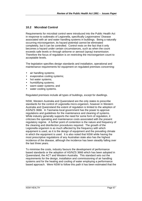# **10.2 Microbial Control**

Requirements for microbial control were introduced into the Public Health Act in response to outbreaks of Legionella, specifically Legionnaires' Disease associated with air and water handling systems in buildings. Being a naturally occurring microorganism, its hazard potential cannot be eliminated completely, but it can be controlled. Control rests on the fact that it only becomes a hazard under certain circumstances, such as when the count exceeds safe levels or through airborne or aerosol (spray) transmission. Therefore the focus of regulation is on restricting the microorganism count to acceptable levels.

The legislation specifies design standards and installation, operational and maintenance requirements for equipment on regulated premises concerning:

- air handling systems;
- evaporative cooling systems;
- hot water systems;
- humidifying systems;
- warm water systems; and
- water cooling systems.

Regulated premises include all types of buildings, except for dwellings.

NSW, Western Australia and Queensland are the only states to prescribe standards for the control of Legionella micro-organism, however in Western Australia and Queensland the extent of regulation is limited to the adoption of AS/NZS 3666. In Tasmania local government has the power to approve regulations and guidelines for the maintenance and cleaning of systems. While industry generally supports the need for some form of regulation, it criticises the operating and maintenance costs associated with the present regulatory regime. A further point of contention is the nature and frequency of the cleaning and disinfection procedures required. The growth of the Legionella organism is as much affected by the frequency with which equipment is used, as it is the design of equipment and the prevailing climate in which the equipment is used. It is also noted that NSW while having the most prescriptive regulations of any Australian state also has the highest incidence of the disease, although the incidence has been steadily falling over the last three years.

To minimise the costs, industry favours the development of performance based standards or the adoption of AS/NZS 3666 which has been adopted in Queensland, the ACT and Western Australia. This standard sets out the requirements for the design, installation and commissioning of air handling systems and for the heating and cooling of water employing a performance based approach. Were NSW to follow this path it has been estimated that the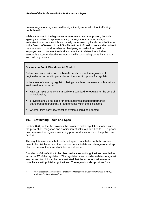present regulatory regime could be significantly reduced without affecting public health.<sup>35</sup>

While variations to the legislative requirements can be approved, the only agency authorised to approve or vary the regulatory requirements, or authorise inspections (which are usually undertaken by local council officers), is the Director-General of the NSW Department of Health. As an alternative it may be useful to consider whether third party accreditation could be employed and competent authorities permitted to determine suitable standards and/or undertake inspections, with costs being borne by industry and building owners.

#### **Discussion Point 23 – Microbial Control**

Submissions are invited on the benefits and costs of the regulation of Legionella hazard and in particular, on the specific options for regulation.

In the event of statutory regulation being considered necessary, submissions are invited as to whether:

- AS/NZS 3666 of its own is a sufficient standard to regulate for the control of Legionella;
- provision should be made for both outcomes based performance standards and prescriptive requirements within the legislation;
- whether third party accreditation systems could be adopted

## **10.3 Swimming Pools and Spas**

Section 82(2) of the Act provides the power to make regulations to facilitate the prevention, mitigation and eradication of risks to public health. This power has been used to regulate swimming pools and spas to which the public has access.

The regulation requires that pools and spas to which the public has access have to be disinfected and the pool surrounds, toilets and change rooms kept clean to prevent the spread of infectious diseases.

Standards of disinfection to be observed are set out in guidelines provided for in clause 17 of the regulation. The regulation also provides a defence against any prosecution if it can be demonstrated that the act or omission was in compliance with published guidelines. The regulation also provides for a

 $35<sup>5</sup>$ 

<sup>35</sup> Clive Broadbent and Associates Pty Ltd 1996 *Management of Legionella Hazards in NSW, a review of the risks, rules and roles*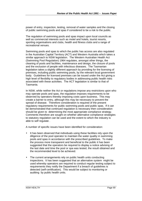power of entry, inspection, testing, removal of water samples and the closing of public swimming pools and spas if considered to be a risk to the public.

The regulation of swimming pools and spas impact upon local councils as well as commercial interests such as motel and hotels, tourist resorts, sporting organisations and clubs, health and fitness clubs and a range of recreational venues.

Swimming pools and spas to which the public has access are also regulated in the Australian Capital Territory (ACT) and Western Australia which takes a similar approach to NSW legislation. The Western Australian Health Act (Swimming Pool Regulation) 1964 regulates, amongst other things, the cleaning of pools and facilities, maintenance and design, the closure of pools and the exclusion of people with infectious diseases. The Tasmanian legislation takes a slightly different approach by providing for the licensing of premises, including public swimming pools, by the relevant local government body. Guidelines for licensed premises can be issued under the Act giving a high level of flexibility to regulatory bodies in addressing public health risks associated with these activities. The ACT legislation is similar to that of Tasmania.

In NSW, while neither the Act or regulations impose any restrictions upon who may operate pools and spas, the regulation imposes requirements to be observed by operators thereby imposing costs upon business. This may create a barrier to entry, although this may be necessary to prevent the spread of disease. Therefore consideration is required of the present regulatory requirements for public swimming pools and public spas. If it can be demonstrated that continued regulation is necessary then consideration should be given to determining the most appropriate compliance strategy. Comments therefore are sought on whether alternative compliance strategies to statutory regulation can be used and the extent to which the industry is able to self regulate .

A number of specific issues have been identified for consideration:

- It has been observed that individuals using these facilities rely upon the diligence of the pool operator to maintain the water quality in swimming pools and spas in accordance with the prescribed guidelines. To make the process more transparent and beneficial to the public it has been suggested that the operators be required to display a notice advising of the last date and time the pool or spa was tested, the result obtained and the recommended level to be achieved.
- The current arrangements rely on public health units conducting inspections. It has been suggested that an alternative system might be used whereby operators are required to conduct regular testing subject to requirements they notify the Department if a breach of guidelines is detected (self-certification). This would be subject to monitoring or auditing by public health units.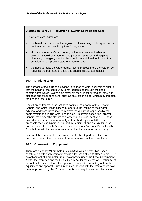## **Discussion Point 24 – Regulation of Swimming Pools and Spas**

Submissions are invited on:

- the benefits and costs of the regulation of swimming pools, spas, and in particular, on the specific options for regulation.
- should some form of statutory regulation be maintained, whether provision should be made for third party accreditation and negative Licensing strategies; whether this should be additional to, in lieu of or complement the present statutory requirements.
- the need to make the water quality testing process more transparent by requiring the operators of pools and spas to display test results.

## **10.4 Drinking Water**

The purpose of the current legislation in relation to water quality is to ensure that the health of the community is not jeopardised through the use of contaminated water. Water is an excellent medium for spreading infectious diseases and other conditions, such as blue-green algae, which may threaten the health of the public.

Recent amendments to the Act have codified the powers of the Director-General and Chief Health Officer in regard to the issuing of "boil water advices" and were introduced to improve the quality of responses by the heath system to drinking water health risks. In severe cases, the Director-General may order the closure of a water supply under section 10I. These amendments arose out of a formally established inquiry with the final proposals receiving bipartisan support in Parliament and are similar to the powers under the South Australian, Tasmanian and Victorian Public Health Acts that provide for action to close or restrict the use of a water supply.

In view of the recency of these amendments, the Department does not propose to review the adequacy of these provisions at the current time.

# **10.5 Crematorium Equipment**

There are presently 24 crematoriums in NSW with a further two under construction with each cremator having a life span of ten to fifteen years. The establishment of a crematory requires approval under the Local Government Act for the premises and the Public Health Act for the cremator. Section 52 of the Act makes it an offence for a person to conduct a crematory unless the equipment and apparatus used in or in connection with the crematorium have been approved of by the Minister. The Act and regulations are silent as to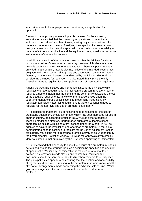what criteria are to be employed when considering an application for approval.

Central to the approval process adopted is the need for the approving authority to be satisfied that the operating temperatures of the unit are sufficient to burn all soft and hard tissue, leaving only an ash residue. As there is no independent means of verifying the capacity of a new cremator design to meet this objective, the approval process relies upon the validity of the manufacturer's specification and the equipment being used in accordance with the manufacturer's instructions.

In addition, clause 41 of the regulation provides that the Minister for Health can issue a notice of closure for a crematory, however, it is silent as to the grounds upon which the Minister might act, nor is there any power of entry provided. If a crematory intends closing, notice of the intended closure must be given to the Minister and all registers and documents sent to the Director-General, or otherwise disposed of as directed by the Director-General. In considering the need for regulation it is also noted that NSW is the only Australian State to regulate for the supply and use of crematorium equipment.

Among the Australian States and Territories, NSW is the only State which regulates crematoria equipment. To maintain the present regulatory regime requires a demonstration that the benefit to the community outweighs the cost of the statutory requirements. In view of the reliance placed upon the supplying manufacturer's specifications and operating instructions by regulatory agencies in approving equipment, is there a continuing need to regulate for the approval and use of cremator equipment?

If it is considered that there is a continuing need to regulate for the use of crematoria equipment, should a cremator which has been approved for use in another country, be accepted for use in NSW? Could either a negative licensing model or a statutory, performance orientated outcomes based approach, as occurs with incinerators licensed under the Clean Air Act, be adopted to govern the installation and operation of cremators? If there is a demonstrated need to continue to regulate for the use of equipment used in crematoria, would it be more appropriate for this activity to be undertaken by the Environmental Protection Agency (EPA) as the approvals given employ identical criteria to that employed by the EPA when approving of incinerators.

If it is determined that a capacity to direct the closure of a crematorium should be retained should the grounds for such a decision be specified and any right of appeal set out? Similarly, consideration is required of who should be notified if a crematory intends closing and to whom all registers and documents should be sent, or be able to direct how they are to be disposed. The principal issues appear to be ensuring that the location and accessibility of registers and documents relating to the crematorium remain known and the alternative arrangements made concerning the advance sale of urns. Which government agency is the most appropriate authority to address such matters?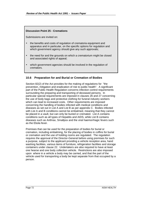# **Discussion Point 25 - Cremations**

Submissions are invited on:

- the benefits and costs of regulation of crematoria equipment and apparatus and in particular, on the specific options for regulation and which government agency should give any such approvals;
- the need for and the grounds on which a crematorium might be closed and associated rights of appeal;
- which government agencies should be involved in the regulation of cremators.

# **10.6 Preparation for and Burial or Cremation of Bodies**

Section 82(2) of the Act provides for the making of regulations for "the prevention, mitigation and eradication of risk to public health". A significant part of the Public Health Regulation concerns infection control requirements surrounding the preparing and transporting of deceased persons. In particular special requirements are imposed in clauses 26 and 27 concerning the use of body bags and protective clothing for funeral industry workers which can lead to increased costs. Other requirements are imposed concerning the handling of bodies infected with medical conditions and diseases as set out in List A and List B as per appendix C. Bodies infected with List A and B conditions cannot be embalmed, meaning that they cannot be placed in a vault, but can only be buried or cremated. List A contains conditions such as all types of Hepatitis and AIDS, while List B contains diseases such as Anthrax, Smallpox and the viral haemorrhagic fevers such as the Ebola fever.

Premises that can be used for the preparation of bodies for burial or cremation, including embalming, for the placing of bodies in coffins for burial or cremation and the use of holding rooms are regulated. The regulation requires the approval of the Director-General before using premises for such a purpose, subject to the applicant providing a vehicle reception area, hand washing facilities, various items of furniture, refrigeration facilities and storage containers under clause 22. Undertakers are also required to have at least one hearse and one body collection vehicle. Restrictions are also imposed upon where in a vehicle a body may be carried, and that the part of the vehicle used for transporting a body be kept separate from that occupied by a person.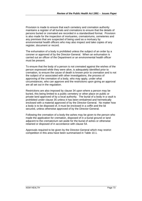Provision is made to ensure that each cemetery and cremation authority maintains a register of all burials and cremations to ensure that the details of persons buried or cremated are recorded in a standardised format. Provision is also made for the inspection of mortuaries, crematoriums, cemeteries and any premises that are suspected of being used as a mortuary by environmental health officers who may also inspect and take copies of any register, document or record.

The exhumation of a body is prohibited unless the subject of an order by a coroner or approved of by the Director-General. When an exhumation is carried out an officer of the Department or an environmental health officer must be present.

To ensure that the body of a person is not cremated against the wishes of the person expressed while they were alive, is adequately identified prior to cremation, to ensure the cause of death is known prior to cremation and is not the subject of or associated with other investigations, the process of approving of the cremation of a body, who may apply, under what circumstances, who can approve and the restrictions upon giving an approval are all set out in the regulation.

Restrictions are also imposed by clause 34 upon where a person may be buried, this being limited to a public cemetery or other place on public or private land approved of by a local authority. The burial of a body in a vault is prohibited under clause 35 unless it has been embalmed and hermetically enclosed with a material approved of by the Director-General. No matter how a body is to be disposed of, it must be enclosed in a coffin and the lid secured, unless otherwise approved of by the Director-General.

Following the cremation of a body the ashes may be given to the person who made the application for cremation, disposed of in a burial ground or land adjacent to the crematorium set aside for the burial of ashes or otherwise retained or disposed of in accordance with clause 54.

Approvals required to be given by the Director-General which may restrict competition in this area have been summarised in Table 10.1.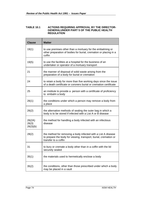#### **TABLE 10.1 ACTIONS REQUIRING APPROVAL BY THE DIRECTOR-GENERALUNDER PART 5 OF THE PUBLIC HEALTH REGULATION**

| <b>Clause</b>               | <b>Matter</b>                                                                                                                                             |
|-----------------------------|-----------------------------------------------------------------------------------------------------------------------------------------------------------|
| 19(1)                       | to use premises other than a mortuary for the embalming or<br>other preparation of bodies for burial, cremation or placing in a<br>coffin                 |
| 19(5)                       | to use the facilities at a hospital for the business of an<br>undertaker or operator of a mortuary transport                                              |
| 21                          | the manner of disposal of solid waste arising from the<br>preparation of a body for burial or cremation                                                   |
| 24                          | to retain a body for more than five working days since the issue<br>of a death certificate or coroners burial or cremation certificate                    |
| 25                          | an institute to provide a person with a certificate of proficiency<br>to embalm a body                                                                    |
| 26(1)                       | the conditions under which a person may remove a body from<br>a place                                                                                     |
| 26(2)                       | the alternative methods of sealing the outer bag in which a<br>body is to be stored if infected with a List A or B disease                                |
| 26(2A)<br>26(3)<br>26(3)(b) | the method for handling a body infected with an infectious<br>disease                                                                                     |
| 28(2)                       | the method for removing a body infected with a List A disease<br>to prepare the body for viewing, transport, burial, cremation or<br>transfer to a coffin |
| 31                          | to bury or cremate a body other than in a coffin with the lid<br>securely sealed                                                                          |
| 35(1)                       | the materials used to hermetically enclose a body                                                                                                         |
| 35(2)                       | the conditions, other than those prescribed under which a body<br>may be placed in a vault                                                                |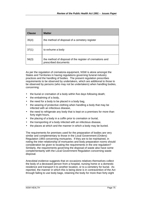| <b>Clause</b> | <b>Matter</b>                                                                    |
|---------------|----------------------------------------------------------------------------------|
| 35(4)         | the method of disposal of a cemetery register                                    |
| 37(1)         | to exhume a body                                                                 |
| 56(3)         | the method of disposal of the register of cremations and<br>prescribed documents |

As per the regulation of crematoria equipment, NSW is alone amongst the States and Territories in having regulations governing funeral industry practices and the handling of bodies. The present regulation prescribes requirements to be observed by undertakers, which are additional to those to be observed by persons (who may not be undertakers) when handling bodies, concerning:

- the burial or cremation of a body within five days following death;
- the embalming of a body,
- the need for a body to be placed in a body bag.
- the wearing of protective clothing when handling a body that may be infected with an infectious disease,
- the need to refrigerate any body that is kept on a premises for more than forty eight hours,
- the placing of a body in a coffin prior to cremation or burial,
- the transporting of a body infected with an infectious disease,
- the places at which and the manner in which a body may be buried.

The requirements for premises used for the preparation of bodies are very similar and complementary to those in the Local Government (Orders) Regulation 1993 concerning mortuaries. If they are to be maintained, in noting the inter-relationship of mortuaries and body preparation rooms should consideration be given to locating the requirements in the one regulation? Similarly, the requirements governing the disposal of waste also have some complementarity with the Local Government Regulation concerning waste disposal.

Anecdotal evidence suggests that on occasions relatives themselves collect the body of a deceased person from a hospital, nursing home or a domestic residence and transport it to another location, or to a cemetery for burial. As reported, the manner in which this is being done is in contravention of the Act through failing to use body bags, retaining the body for more than forty eight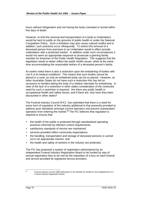hours without refrigeration and not having the body cremated or buried within five days of death.

However, to limit the removal and transportation of a body to Undertakers would be hard to justify on the grounds of public health or under the National Competition Policy. Such a limitation may also cause cultural conflict and in addition, such practices occur infrequently. To restrict the removal of a deceased person from premises to an Undertaker would in effect provide undertakers with a protected market. In addition under such circumstances it would not seem an appropriate response to prosecute a grieving family member for breaches of the Public Health Regulation. This suggests that the legislation needs to better reflect the public health issues, while at the same time accommodating the reasonable wishes of a deceased person's family.

As earlier noted there is also a restriction upon the embalming of bodies with List A or B medical conditions. This means that such bodies cannot be placed in a vault, as only an embalmed body can be so placed. However, as other Australian States do not have such a restriction this has led on occasions to families taking the body of a relative interstate for embalming. In view of the lack of a restriction in other states consideration of the continued need for such a restriction is required. Are there any public health or occupational health and safety issues, and if there are, why have they been discounted in other states?

The Funeral Industry Council (FIC) has submitted that there is a need for some form of regulation of the industry additional to that presently provided to address poor standards amongst current operators and prevent substandard operators from entering the market.**<sup>36</sup>** The FIC believes that regulation is required to ensure that:

- the health of the public is protected through standardised operating practices informed by infection control requirements;
- satisfactory standards of service are maintained;
- services provided reflect community expectations:
- the handling, transportation and storage of deceased persons is carried out in an appropriate manner; and
- the health and safety of workers in the industry are protected.

The FIC has proposed a system of registration administered by an independent Funeral Industry Registration Board to be funded by way of annual registration fees to be met by the imposition of a levy on each funeral and service provided by registered service providers.

 $36$ 

Funeral Industry Council 1998 Submission to the Minister for Health for the establishment of a Funeral Industry Registration Board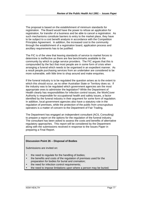The proposal is based on the establishment of minimum standards for registration. The Board would have the power to refuse an application for registration, for transfer of a business and be able to cancel a registration. As such mechanisms constitute barriers to entry to the market place, they have to be subject to a cost benefit analysis in accordance with the Competition Principles Agreement. In addition, the increased cost to the community through the establishment of a registration board, application process and ancillary requirements has to be justified.

The FIC is of the view that leaving standards of service to market forces to determine is ineffective as there are few benchmarks available to the community by which to judge service providers. The FIC argues that this is compounded by the fact that most people are in some form of crisis when arranging a funeral which needs to be organised in an expedient manner. As a result people purchasing services from an undertaker are considered to be more vulnerable, with little time to shop around and make enquiries.

If the funeral industry is to be regulated the question arises as to the extent to which this should occur, as no other Australian State or Territory does so. If the industry was to be regulated which government agencies are the most appropriate ones to administer the legislation? While the Department of Health clearly has responsibilities for infection control issues, the WorkCover Authority is responsible for occupational health and safety issues, a factor identified by the funeral industry in their argument for some form of regulation. In addition, local government agencies also have a statutory role in the regulation of premises, while the protection of the public from unscrupulous operators is a matter of concern to the Department of Fair Trading.

The Department has engaged an independent consultant (ACIL Consulting) to prepare a report on the options for the regulation of the funeral industry. The consultant has been asked to assess the costs and benefits of alternative regulatory approaches. This report will be considered by the Department along with the submissions received in response to the Issues Paper in preparing a Final Report.

#### **Discussion Point 26 – Disposal of Bodies**

Submissions are invited on:

- the need to regulate for the handling of bodies;
- the benefits and costs of the regulation of premises used for the preparation for bodies for burial and cremation;
- the need for infection control requirements;
- the need to impose limitations upon where a person may be buried;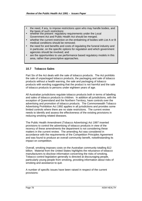- the need, if any, to impose restrictions upon who may handle bodies, and the basis of such restrictions;
- whether the present regulatory requirements under the Local Government Act and Public Health Act should be merged;
- whether the current restriction on the embalming of bodies with List A or B medical conditions should be removed;
- the need for and benefits and costs of regulating the funeral industry and in particular, on the specific options for regulation and which government agencies should be involved; and
- are the opportunities to use performance based regulatory models in this area, rather than prescriptive approaches.

# **10.7 Tobacco Sales**

Part Six of the Act deals with the sale of tobacco products. The Act prohibits the sale of unpackaged tobacco products, the packaging and sale of tobacco products without a health warning, the sale and packaging of tobacco products with wording suggesting that the product is not harmful and the sale of tobacco products to persons under eighteen years of age.

All Australian jurisdictions regulate tobacco products both in terms of labelling and sales of tobacco products to children. In addition all jurisdictions, with the exception of Queensland and the Northern Territory, have controls over the advertising and promotion of tobacco products. The Commonwealth Tobacco Advertising Prohibition Act 1992 applies in all jurisdictions and provides some limited controls where there are no state restrictions. The current review needs to identify and assess the effectiveness of the existing provisions in reducing smoking related diseases.

The Public Health Amendment (Tobacco Advertising) Act 1997 inserted provisions to control the advertising of tobacco products in view of the recency of these amendments the department is not considering these matters in the current review. The amending Act was considered in accordance with the requirements of the Competition Principles Agreement and was found to produce an overall community benefit, notwithstanding its impact on competition.

Overall, smoking imposes costs on the Australian community totalling \$12 billion. Material from the United States highlights the reluctance of tobacco manufacturers to disclose information concerning the risks of smoking. Tobacco control legislation generally is directed at discouraging people, particularly young people from smoking, providing information about risks of smoking and assistance to quit.

A number of specific issues have been raised in respect of the current provisions: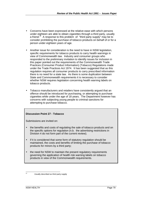- Concerns have been expressed at the relative ease with which persons under eighteen are able to obtain cigarettes through a third party, usually a friend. $37$  A response to this problem of "third party supply" may be to consider prohibiting the purchase of tobacco products on behalf of or for a person under eighteen years of age.
- Another issue for consideration is the need to have in NSW legislation, specific requirements for tobacco products to carry health warnings in view of Commonwealth law. Industry and consumer groups who responded to the preliminary invitation to identify issues for inclusion in this paper pointed out the requirements of the Commonwealth Trade Practices (Consumer Product Information) (Tobacco) Regulations made under the Trade Practices Act 1974. It has been suggested that as this regulation requires all consumer products to carry prescribed information there is no need for a state law. As there is some duplication between State and Commonwealth requirements it is necessary to consider whether NSW requires legislation concerning health warning labels on tobacco products.
- Tobacco manufacturers and retailers have consistently argued that an offence should be introduced for purchasing, or attempting to purchase cigarettes while under the age of 18 years. The Department however has concerns with subjecting young people to criminal sanctions for attempting to purchase tobacco.

# **Discussion Point 27 - Tobacco**

Submissions are invited on:

- the benefits and costs of regulating the sale of tobacco products and on the specific options for regulation (n.b. the advertising restrictions in Division 4 do not form part of the current review);
- if it is considered that some form of statutory regulation should be maintained, the costs and benefits of limiting the purchase of tobacco products for minors by a third party;
- the need for NSW to maintain the present regulatory requirements governing the application of health risk warning labels on tobacco products in view of the Commonwealth requirements.

 $27$ 

Usually described as third party supply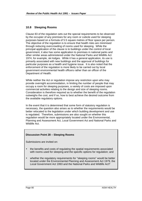# **10.8 Sleeping Rooms**

Clause 83 of the regulation sets out the special requirements to be observed by the occupier of any premises for any room or cubicle used for sleeping purposes based on a formula of 5.5 square metres of floor space per person. The objective of the regulation is to ensure that health risks are minimised through reducing overcrowding of rooms used for sleeping. While the principal application of the clause is to buildings under the control of local government, it also has some application to premises in national parks and other similar areas administered under the National Parks and Wildlife Act 1974, for example, ski lodges. While it has a general application, its use is primarily associated with new buildings and the approval of buildings for particular purposes as a health and hygiene issue. It is also noted that the enforcement of the regulation is more likely to be carried out by local government environmental health officers rather than an officer of the Department of Health.

While neither the Act or regulation impose any restriction upon who may provide overnight accommodation, in limiting the number of people that may occupy a room for sleeping purposes, a variety of costs are imposed upon commercial activities relating to the design and size of sleeping rooms. Consideration is therefore required as to whether the benefit of the regulation outweighs the cost, and if so, how to best achieve the desired outcome from the available regulatory options.

In the event that it is determined that some form of statutory regulation is necessary, the question also arises as to whether the requirements would be better relocated to the legislation under which building development and use is regulated. Therefore, submissions are also sought on whether this regulation would be more appropriately located under the Environmental, Planning and Assessment Act, Local Government Act and National Parks and Wildlife Act.

# **Discussion Point 28 – Sleeping Rooms**

Submissions are invited on:

- the benefits and costs of regulating the spatial requirements associated with rooms used for sleeping and the specific options for regulation; and
- whether the regulatory requirements for "sleeping rooms" would be better located under the Environmental Planning and Assessment Act 1979, the Local Government Act 1993 and the National Parks and Wildlife Act?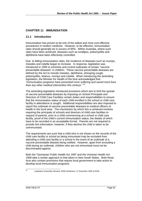# **CHAPTER 11 IMMUNISATION**

# **11.1 Introduction**

Immunisation has proven to be one of the safest and most cost effective procedures in modern medicine. However, to be effective, immunisation rates should generally be in excess of 95%. Within Australia, where such rates have been achieved, diseases such as smallpox, poliomyelitis and diphtheria have been effectively controlled.

Due to falling immunisation rates, the incidence of diseases such as mumps, measles and rubella began to increase. In response, legislation was introduced in 1992 to minimise and control outbreaks of certain "vaccine preventable diseases" in children. These vaccine preventable diseases are defined by the Act to include measles, diphtheria, whooping cough, poliomyelitis, tetanus, mumps and rubella. When introducing the amending legislation, the Minister for Health of the time acknowledged that "*Immunisation programs have prevented more suffering and saved more lives than any other medical intervention this century.*" 38

The amending legislation introduced provisions which aim to limit the spread of vaccine preventable diseases by imposing on School Principals and Directors of Child Care Facilities certain duties and responsibilities to ensure that the immunisation status of each child enrolled in the school or child care facility in attendance is sought. Additional responsibilities are also imposed to report the outbreak of vaccine preventable diseases to medical officers of health in the local area. The mechanism by which this is achieved involves requiring the principals of schools and directors of child care facilities to request of parents, prior to a child commencing at a school or child care facility, proof of the child's current immunisation status, the details of which have to be recorded in an acceptable format. Parents are not required to provide this information, however, if they decline the child is taken to be unimmunised.

The requirements are such that a child who is not shown on the records of the child care facility or school as being immunised may be excluded from attending a child care facility or a school in the event of an outbreak of a vaccine preventable disease being notified. However, apart from excluding a child during an outbreak, children who are not immunised must not be discriminated against.

Both the Tasmanian Public Health Act 1997 and the Victorian Health Act 1958 take a similar approach to that taken in New South Wales. Both those Acts also contain provisions that require local government to take action to develop local immunisation programs.

 $\overline{38}$ 

<sup>38</sup> *Legislative Assembly Hansard*, NSW Parliament, 17 November 1992 at 9236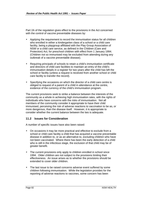Part 2A of the regulation gives effect to the provisions in the Act concerned with the control of vaccine preventable diseases by:

- Applying the requirement to record the immunisation status for all children who enrolled in either a kindergarten class of a school or a child care facility, being a playgroup affiliated with the Play Group Association of NSW or a child care service, as defined in the Children (Care and Protection) Act, for preschool children with effect from 1 January 1994. (Children not so immunised may be excluded from attending during any outbreak of a vaccine preventable disease).
- Requiring principals of schools to retain a child's immunisation certificate and directors of child care facilities to maintain an entry of the child's immunisation details in a register for two years after the child has left the school or facility (unless a request is received from another school or child care facility to transfer the record).
- Specifying the occasions on which the director of a child care centre is obliged to request of a parent of a child in attendance at the centre, evidence of the currency of the child's immunisation program.

The current provisions seek to strike a balance between the interests of the community as a whole in achieving high immunisation rates, with the rights of individuals who have concerns with the risks of immunisation. Not all members of the community consider it appropriate to have their child immunised, perceiving the risk of adverse reactions to vaccination to be as, or more dangerous, than the disease itself. However, it is appropriate to consider whether the current balance between the two is adequate.

# **11.2 Issues for Consideration**

A number of specific issues have also been raised:

- On occasions it may be more practical and effective to exclude from a school or child care facility a child that has acquired a vaccine preventable disease in addition to, or as an alternative to, excluding children who have not been vaccinated. Where there has been the early detection of a child who is still in the infectious stage, the exclusion of that child may be of greater benefit.
- The current provisions only apply to children enrolled in school since 1994. Older children are not subject to the provisions limiting their effectiveness. An issue arises as to whether the provisions should be extended to cover older children.
- The last issue to be raised concerns adverse event suffered by some children following immunisation. While the legislation provides for the reporting of adverse reactions to vaccines, some concern has been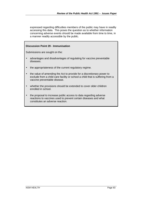expressed regarding difficulties members of the public may have in readily accessing this data. This poses the question as to whether information concerning adverse events should be made available from time to time, in a manner readily accessible by the public.

#### **Discussion Point 29 - Immunisation**

Submissions are sought on the:

- advantages and disadvantages of regulating for vaccine preventable diseases.
- the appropriateness of the current regulatory regime.
- the value of amending the Act to provide for a discretionary power to exclude from a child care facility or school a child that is suffering from a vaccine preventable disease.
- whether the provisions should be extended to cover older children enrolled in school.
- the proposal to increase public access to data regarding adverse reactions to vaccines used to prevent certain diseases and what constitutes an adverse reaction.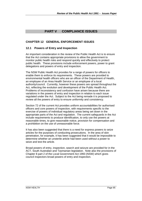# **PART V COMPLIANCE ISSUES**

# **CHAPTER 12 GENERAL ENFORCEMENT ISSUES**

# **12.1 Powers of Entry and Inspection**

An important consideration in the review of the Public Health Act is to ensure that the Act contains appropriate provisions to allow the government to monitor public health risks and respond quickly and effectively to protect public health. These provisions include enforcement powers, power to grant delegations and powers of entry and inspection.

The NSW Public Health Act provides for a range of powers for officers to enable them to enforce its requirements. These powers are provided to environmental health officers who are an officer of the Department of Health, an employee of an Area Health Service or an employee of a local authority/council. Currently, however these powers are spread throughout the Act, reflecting the evolution and development of the Public Health Act. Problems of inconsistency and confusion have arisen because there are variations in the powers of entry and inspection in relation to each issue regulated under the Act. Subject to the Act being remade it is proposed to review all the powers of entry to ensure uniformity and consistency.

Section 72 of the current Act provides uniform accountabilities for authorised officers and core powers of inspection, with requirements specific to the exercise of powers of individual regulatory areas being set down in the appropriate parts of the Act and regulation. The current safeguards in the Act include requirements to produce identification, to only use the powers at reasonable times, to give reasonable notice, provision for compensation and a prohibition on the use of unreasonable force.

It has also been suggested that there is a need for express powers to seize articles for the purposes of conducting prosecutions. In the area of skin penetration, for example, it has been suggested that it would be impossible to determine whether an unsterile article had been used without a power to seize and test the article.

Broad powers of entry, inspection, search and seizure are provided for in the ACT, South Australian and Tasmanian legislation. Note also the provisions of Chapter 8 part 2 of the Local Government Act 1993 (NSW) which gives council inspectors broad powers of entry and inspection.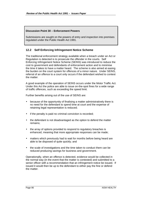# **Discussion Point 30 – Enforcement Powers**

Submissions are sought on the powers of entry and inspection into premises regulated under the Public Health Act 1991.

# **12.2 Self Enforcing Infringement Notice Scheme**

The traditional enforcement strategy available when a breach under an Act or Regulation is detected is to prosecute the offender in the courts. Self Enforcing Infringement Notice Scheme (SEINS) was introduced to reduce the cost to government and defendants of enforcement action and to minimise the time it takes to have a matter heard. The scheme is also aimed at easing the burden on the court system for offences of a minor nature. Under SEINS, referral of an offence to a court only occurs if the defendant wished to contest the matter.

A good example of the operation of SEINS occurs under the Motor Traffic Act. Under this Act the police are able to issue on-the-spot fines for a wide range of traffic offences, such as exceeding the speed limit.

Further benefits arising out of the use of SEINS are:

- because of the opportunity of finalising a matter administratively there is no need for the defendant to spend time at court and the expense of retaining legal representation is reduced;
- if the penalty is paid no criminal conviction is recorded;
- the defendant is not disadvantaged as the option to defend the matter remains;
- the array of options provided to respond to regulatory breaches is enhanced, meaning that more appropriate responses can be made;
- matters which previously had to wait for months before being heard are able to be disposed of quite quickly; and
- the scale of investigations and the time taken to conduct them can be reduced producing savings for business and government.

Operationally, when an offence is detected, evidence would be collected in the normal way (in the event that the matter is contested) and submitted to a senior officer with a recommendation that an infringement notice be issued. If issued it would then be up to the defendant to either pay the fine or defend the matter.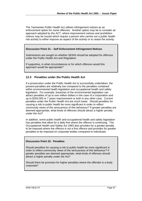The Tasmanian Public Health Act utilises infringement notices as an enforcement option for some offences. Another option may be to consider an approach adopted by the ACT, where improvement notices and prohibition notices may be issued which require a person who carries out a public health risk activity to either improve an aspect of the activity or to cease the activity.

#### **Discussion Point 31 – Self Enforcement Infringement Notices**

Submissions are sought on whether SEINS should be adopted for offences under the Public Health Act and Regulation.

If supportive, in what circumstances or for which offences would this approach would be appropriate?

# **12.3 Penalties under the Public Health Act**

If a prosecution under the Public Health Act is successfully undertaken, the present penalties are relatively low compared to the penalties contained within environmental health legislation and occupational health and safety legislation. For example, breaches of the environmental legislation can attract penalties of up to one million dollars in the case of a corporation and up to \$250,000 or 7 years imprisonment or both in any other case. Current penalties under the Public Health Act are much lower. Should penalties for causing a risk to public health be more significant in order to reflect community views of the seriousness of this behaviour? If greater penalties are deemed appropriate, what kinds of offences should attract a higher penalty under the Act?

In addition, some public health and occupational health and safety legislation has penalties that allow for a daily fine where the offence is continuing. The Occupational Health and Safety Act 1983 also provides for a greater penalty to be imposed where the offence is not a first offence and provides for greater penalties to be imposed on corporate bodies compared to individuals.

#### **Discussion Point 32 - Penalties**

Should penalties for causing a risk to public health be more significant in order to reflect community views of the seriousness of this behaviour? If greater penalties are deemed appropriate, what kinds of offences should attract a higher penalty under the Act?

Should there be provision for higher penalties where the offender is a body corporate?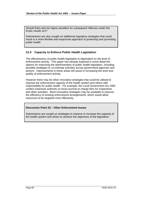Should there also be higher penalties for subsequent offences under the Public Health Act?

Submissions are also sought on additional regulatory strategies that could result in a more flexible and responsive approach to protecting and promoting public health

# **12.4 Capacity to Enforce Public Health Legislation**

The effectiveness of public health legislation is dependent on the level of enforcement activity. This paper has already explored in some detail the options for improving the administration of public health legislation, including possible strategies to co-ordinate activities across government agencies and sectors. Improvements in these areas will assist in increasing the level and quality of enforcement activity.

However there may be other innovative strategies that could be utilised to improve the enforcement capacity of the health system and others with responsibility for public health. For example, the Local Government Act 1993 confers extensive authority on local councils to charge fees for inspections and other activities. More innovative strategies may be available to improve the efficiency of existing enforcement arrangements, which would allow resources to be targeted more effectively.

# **Discussion Point 33 – Other Enforcement Issues**

Submissions are sought on strategies to improve or increase the capacity of the health system and others to achieve the objectives of the legislation.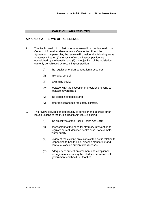# **PART VI APPENDICES**

# **APPENDIX A TERMS OF REFERENCE**

- 1. The Public Health Act 1991 is to be reviewed in accordance with the Council of Australian Government's Competition Principles Agreement. In particular, the review will consider the following areas to assess whether: (i) the costs of restricting competition are outweighed by the benefits, and (ii) the objectives of the legislation can only be achieved by restricting competition:
	- (i) the regulation of skin penetration procedures;
	- (ii) microbial control;
	- (iii) swimming pools;
	- (iv) tobacco (with the exception of provisions relating to tobacco advertising);
	- (v) the disposal of bodies; and
	- (vi) other miscellaneous regulatory controls.
- 2. The review provides an opportunity to consider and address other issues relating to the Public Health Act 1991 including:
	- (i) the objectives of the Public Health Act 1991;
	- (ii) assessment of the need for statutory intervention to regulate current identified health risks - for example, water quality.
	- (iii) review of the existing provisions of the Act in relation to: responding to health risks; disease monitoring; and control of vaccine preventable diseases;
	- (iv) Adequacy of current enforcement and compliance arrangements including the interface between local government and health authorities.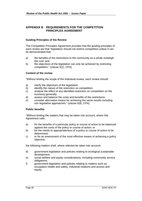# **APPENDIX B REQUIREMENTS FOR THE COMPETITION PRINCIPLES AGREEMENT**

### **Guiding Principles of the Review**

The Competition Principles Agreement provides that the guiding principles of each review are that "legislation should not restrict competition unless it can be demonstrated that:

- a) the benefits of the restrictions to the community as a whole outweigh the cost; and
- b) the objectives of the legislation can only be achieved by restricting competition." (clause 5(1), CPA)

# **Content of the review**

"Without limiting the scope of the individual review, each review should:

- a) clarify the objectives of the legislation;
- b) identify the nature of the restriction on competition;
- c) analyse the effect of any identified restriction on competition on the economy generally;
- d) assess and balance the costs and benefits of the restrictions;
- e) consider alternative means for achieving the same results including non legislative approaches." (clause 5(9), CPA)

#### **Public benefits**

"Without limiting the matters that may be taken into account, where this Agreement calls:

- a) for the benefits of a particular policy or course of action to be balanced against the costs of the policy or course of action; or
- b) for the merits or appropriateness of a policy or course of action to be determined;
- c) or for an assessment of the most effective means of achieving a policy objective;

the following matters shall, where relevant be taken into account:

- d) government legislation and policies relating to ecological sustainable development;
- e) social welfare and equity considerations, including community service obligations;
- f) government legislation and policies relating to matters such as occupation health and safety, industrial relations and access and equity;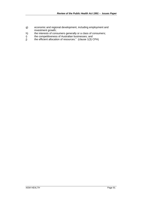- g) economic and regional development, including employment and investment growth;
- h) the interests of consumers generally or a class of consumers;
- i) the competitiveness of Australian businesses; and
- $j$  the efficient allocation of resources." (clause 1(3) CPA)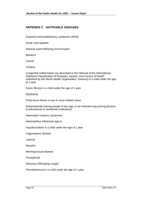# **APPENDIX C NOTIFIABLE DISEASES**

Acquired immunodeficiency syndrome (AIDS)

Acute viral hepatitis

Adverse event following immunisation

Botulism

**Cancer** 

Cholera

Congenital malformation (as described in the "Manual of the International Statistical Classification of Diseases, Injuries, and Causes of Death" published by the World Health Organisation, Geneva) in a child under the age of 1 year

Cystic fibrosis in a child under the age of 1 year

**Diphtheria** 

Food borne illness in two or more related cases

Gastroenteritis among people of any age, in an institution (eg among persons in educational or residential institutions)

Haemolytic Uraemic Syndrome

Haemophilus influenzae type b

Hypothyroidism in a child under the age of 1 year

Legionnaires' disease

Leprosy

Measles

Meningococcal disease

Paratyphoid

Pertussis (Whooping cough)

Phenylketonuria in a child under the age of 1 year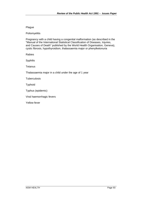### Plague

Poliomyelitis

Pregnancy with a child having a congenital malformation (as described in the "Manual of the International Statistical Classification of Diseases, Injuries, and Causes of Death" published by the World Health Organisation, Geneva), cystic fibrosis, hypothyroidism, thalassaemia major or phenylketonuria

Rabies

Syphilis

**Tetanus** 

Thalassaemia major in a child under the age of 1 year

**Tuberculosis** 

Typhoid

Typhus (epidemic)

Viral haemorrhagic fevers

Yellow fever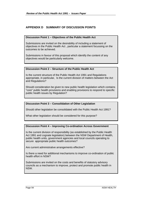# **APPENDIX D SUMMARY OF DISCUSSION POINTS**

# **Discussion Point 1 – Objectives of the Public Health Act**

Submissions are invited on the desirability of including a statement of objectives in the Public Health Act , particular a statement focussing on the outcomes to be achieved.

Submissions in favour of this proposal which identify the content of any objectives would be particularly welcome.

# **Discussion Point 2 – Structure of the Public Health Act**

Is the current structure of the Public Health Act 1991 and Regulations appropriate, in particular, Is the current division of matters between the Act and Regulations?

Should consideration be given to new public health legislation which contains "core" public health provisions and enabling provisions to respond to specific public health issues by Regulation?

# **Discussion Point 3 – Consolidation of Other Legislation**

Should other legislation be consolidated with the Public Health Act 1991?

What other legislation should be considered for this purpose?

#### **Discussion Point 4 – Improving Co-ordination Across Government**

Is the current division of responsibility (as established by the Public Health Act 1991 and cognate legislation) between the NSW Department of Health, public health units, government agencies and local councils operating to secure appropriate public health outcomes?

Are current administrative arrangements effective?

Is there a need for additional mechanisms to improve co-ordination of public health effort in NSW?

Submissions are invited on the costs and benefits of statutory advisory councils as a mechanism to improve, protect and promote public health in NSW.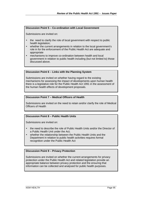# **Discussion Point 5 – Co-ordination with Local Government**

Submissions are invited on:

- the need to clarify the role of local government with respect to public health legislation;
- whether the current arrangements in relation to the local government's role in for the enforcement of the Public Health Act are adequate and appropriate
- mechanisms to improve co-ordination between health and local government in relation to public health including (but not limited to) those discussed above.

### **Discussion Point 6 – Links with the Planning System**

Submissions are invited on whether having regard to the existing mechanisms for assessing the impact of developments upon human health there is a legislative role for the Public Health Act 1991 in the assessment of the human health effects of development proposals.

### **Discussion Point 7 – Medical Officers of Health**

Submissions are invited on the need to retain and/or clarify the role of Medical Officers of Health

# **Discussion Point 8 – Public Health Units**

Submissions are invited on:

- the need to describe the role of Public Health Units and/or the Director of a Public Health Unit under the Act;
- whether the relationship between the Public Health Units and the Department in relation to public health activities requires formal recognition under the Public Health Act

#### **Discussion Point 9 – Privacy Protection**

Submissions are invited on whether the current arrangements for privacy protection under the Public Health Act and related legislation provide an appropriate balance between privacy protection and the ensuring that information can be collected and analysed for public health purposes.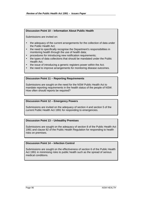#### **Discussion Point 10 – Information About Public Health**

Submissions are invited on:

- the adequacy of the current arrangements for the collection of data under the Public Health Act;
- the need to specifically recognise the Department's responsibilities in monitoring health through the use of health data;
- procedures for introducing new notification requirements;
- the types of data collections that should be mandated under the Public Health Act;
- the issue of introducing a generic registers power within the Act:
- the need to improve arrangements for monitoring disease outcomes.

#### **Discussion Point 11 – Reporting Requirements**

Submissions are sought on the need for the NSW Public Health Act to mandate reporting requirements in the health status of the people of NSW. How often should reports be required?

#### **Discussion Point 12 – Emergency Powers**

Submissions are invited on the adequacy of section 4 and section 5 of the current Public Health Act 1991 for responding to emergencies.

#### **Discussion Point 13 – Unhealthy Premises**

Submissions are sought on the adequacy of section 8 of the Public Health Act 1991 and clause 82 of the Public Health Regulation for responding to health risks on premises.

### **Discussion Point 14 – Infection Control**

Submissions are sought on the effectiveness of section 6 of the Public Health Act 1991 in minimising risks to public health such as the spread of serious medical conditions.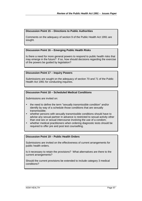# **Discussion Point 15 – Directions to Public Authorities**

Comments on the adequacy of section 9 of the Public Health Act 1991 are sought.

### **Discussion Point 16 – Emerging Public Health Risks**

Is there a need for more general powers to respond to public health risks that may emerge in the future? If so, how should decisions regarding the exercise of the powers be guided by legislation?

#### **Discussion Point 17 – Inquiry Powers**

Submissions are sought on the adequacy of section 70 and 71 of the Public Health Act 1991 for conducting inquiries.

# **Discussion Point 18 – Scheduled Medical Conditions**

Submissions are invited on:

- the need to define the term "sexually transmissible condition" and/or identify by way of a schedule those conditions that are sexually transmissible;
- whether persons with sexually transmissible conditions should have to advise any sexual partner in advance is restricted to sexual activity other than oral sex or sexual intercourse involving the use of a condom;
- whether medical practitioners when ordering diagnostic tests should be required to offer pre and post test counselling.

#### **Discussion Point 19 – Public Health Orders**

Submissions are invited on the effectiveness of current arrangements for public health orders.

Is it necessary to retain the provisions? What alternatives are there to the current arrangements?

Should the current provisions be extended to include category 3 medical conditions?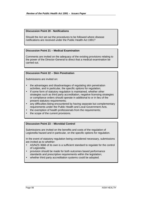# **Discussion Point 20 - Notifications**

Should the Act set out the procedures to be followed where disease notifications are received under the Public Health Act 1991?

#### **Discussion Point 21 – Medical Examination**

Comments are invited on the adequacy of the existing provisions relating to the power of the Director-General to direct that a medical examination be carried out.

#### **Discussion Point 22 – Skin Penetration**

Submissions are invited on:

- the advantages and disadvantages of regulating skin penetration activities, and in particular, the specific options for regulation;
- If some form of statutory regulation is maintained, whether other strategies such as third party accreditation, negative licensing strategies or compliance orders should operate in additional to or in lieu of the present statutory requirements;
- any difficulties being encountered by having separate but complementary requirements under the Public Health and Local Government Acts.
- the exemption of health professionals from the requirements;
- the scope of the current provisions.

#### **Discussion Point 23 – Microbial Control**

Submissions are invited on the benefits and costs of the regulation of Legionella hazard and in particular, on the specific options for regulation.

In the event of statutory regulation being considered necessary, submissions are invited as to whether:

- AS/NZS 3666 of its own is a sufficient standard to regulate for the control of Legionella;
- provision should be made for both outcomes based performance standards and prescriptive requirements within the legislation;
- whether third party accreditation systems could be adopted.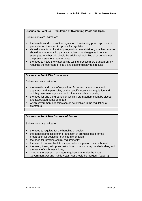# **Discussion Point 24 – Regulation of Swimming Pools and Spas**

Submissions are invited on:

- the benefits and costs of the regulation of swimming pools, spas, and in particular, on the specific options for regulation.
- should some form of statutory regulation be maintained, whether provision should be made for third party accreditation and negative Licensing strategies; whether this should be additional to, in lieu of or complement the present statutory requirements.
- the need to make the water quality testing process more transparent by requiring the operators of pools and spas to display test results.

# **Discussion Point 25 – Cremations**

Submissions are invited on:

- the benefits and costs of regulation of crematoria equipment and apparatus and in particular, on the specific options for regulation and which government agency should give any such approvals;
- the need for and the grounds on which a crematorium might be closed and associated rights of appeal;
- which government agencies should be involved in the regulation of cremators.

#### **Discussion Point 26 – Disposal of Bodies**

Submissions are invited on:

- the need to regulate for the handling of bodies;
- the benefits and costs of the regulation of premises used for the preparation for bodies for burial and cremation;
- the need for infection control requirements;
- the need to impose limitations upon where a person may be buried:
- the need, if any, to impose restrictions upon who may handle bodies, and the basis of such restrictions;
- whether the present regulatory requirements under the Local Government Act and Public Health Act should be merged; (*cont*….)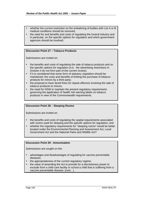- whether the current restriction on the embalming of bodies with List A or B medical conditions should be removed;
- the need for and benefits and costs of regulating the funeral industry and in particular, on the specific options for regulation and which government agencies should be involved.

# **Discussion Point 27 – Tobacco Products**

Submissions are invited on:

- the benefits and costs of regulating the sale of tobacco products and on the specific options for regulation (n.b. the advertising restrictions in Division 4 do not form part of the current review);
- if it is considered that some form of statutory regulation should be maintained, the costs and benefits of limiting the purchase of tobacco products for minors by a third party;
- the proposal to have tiered fines for repeat offences involving the sale of tobacco products to minors;
- the need for NSW to maintain the present regulatory requirements governing the application of health risk warning labels on tobacco products in view of the Commonwealth requirements.

### **Discussion Point 28 – Sleeping Rooms**

Submissions are invited on:

- the benefits and costs of regulating the spatial requirements associated with rooms used for sleeping and the specific options for regulation; and
- whether the regulatory requirements for "sleeping rooms" would be better located under the Environmental Planning and Assessment Act, Local Government Act and the National Parks and Wildlife Act?

#### **Discussion Point 29 - Immunisation**

Submissions are sought on the:

- advantages and disadvantages of regulating for vaccine preventable diseases;
- the appropriateness of the current regulatory regime;
- the value of amending the Act to provide for a discretionary power to exclude from a child care facility or school a child that is suffering from a vaccine preventable disease; (*cont*…)